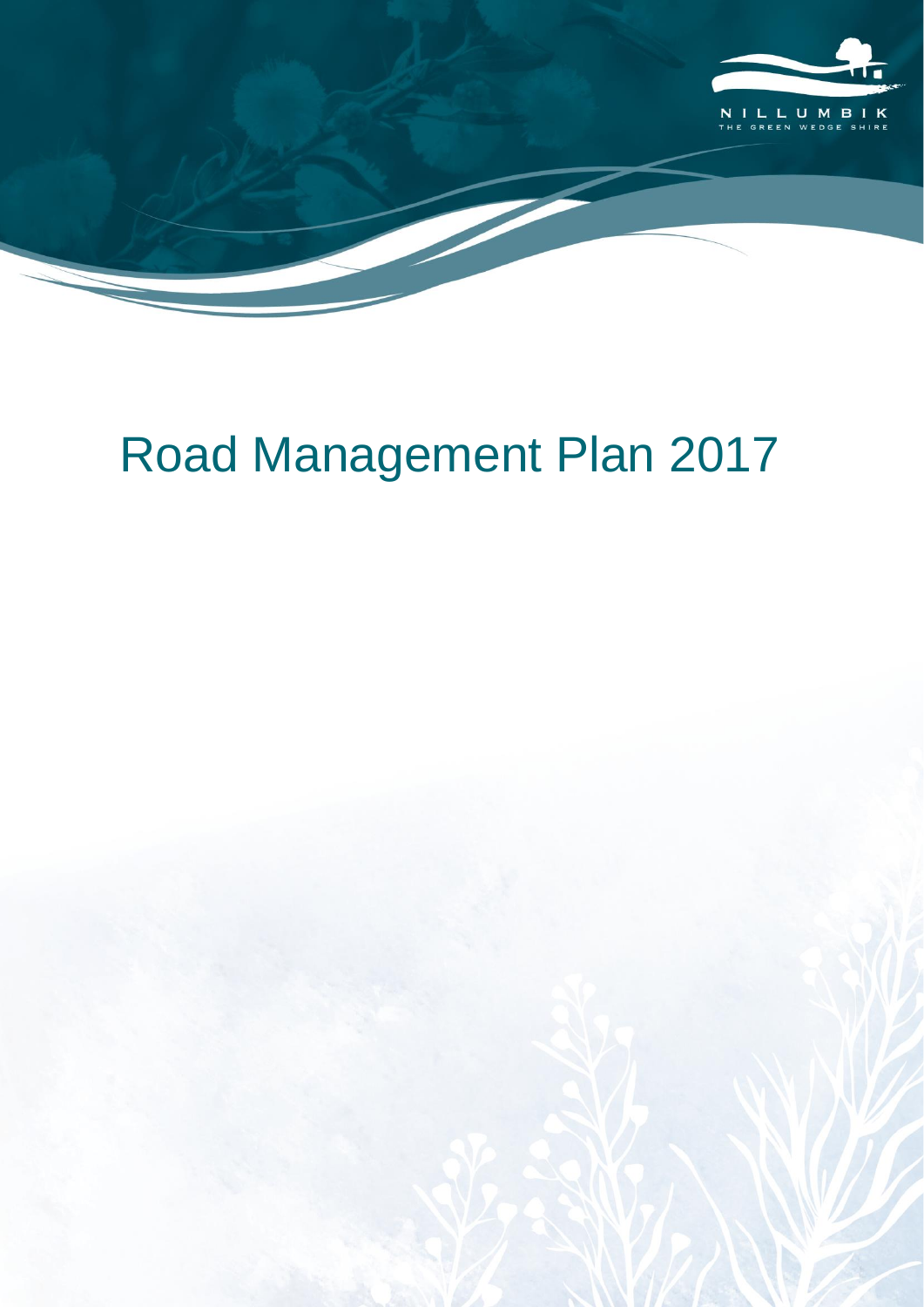

# Road Management Plan 2017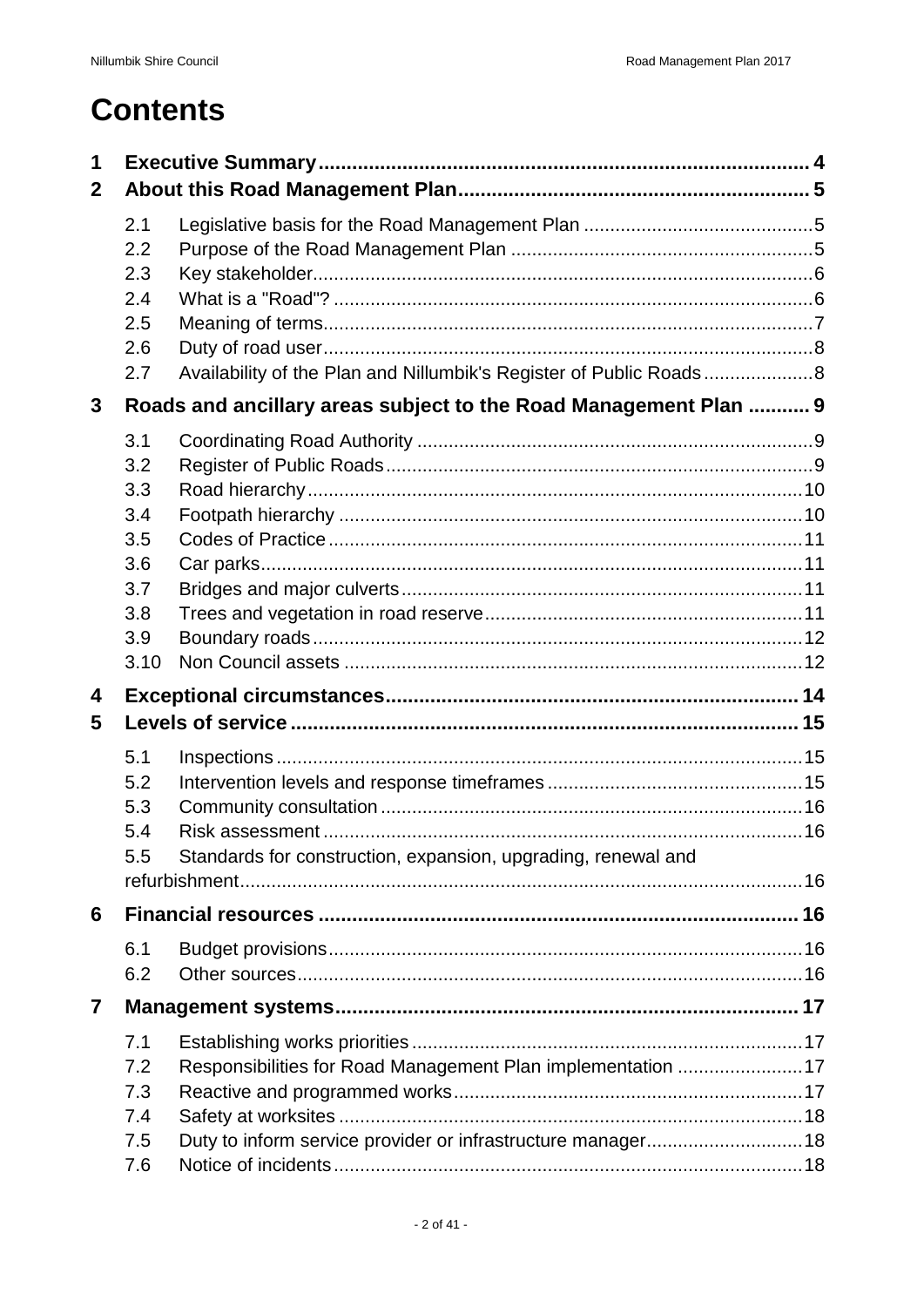# **Contents**

| 1            |            |                                                                   |  |
|--------------|------------|-------------------------------------------------------------------|--|
| $\mathbf{2}$ |            |                                                                   |  |
|              | 2.1        |                                                                   |  |
|              | 2.2        |                                                                   |  |
|              | 2.3        |                                                                   |  |
|              | 2.4        |                                                                   |  |
|              | 2.5<br>2.6 |                                                                   |  |
|              | 2.7        | Availability of the Plan and Nillumbik's Register of Public Roads |  |
| $\mathbf{3}$ |            | Roads and ancillary areas subject to the Road Management Plan  9  |  |
|              | 3.1        |                                                                   |  |
|              | 3.2        |                                                                   |  |
|              | 3.3        |                                                                   |  |
|              | 3.4        |                                                                   |  |
|              | 3.5        |                                                                   |  |
|              | 3.6        |                                                                   |  |
|              | 3.7        |                                                                   |  |
|              | 3.8        |                                                                   |  |
|              | 3.9        |                                                                   |  |
|              | 3.10       |                                                                   |  |
| 4            |            |                                                                   |  |
| 5            |            |                                                                   |  |
|              | 5.1        |                                                                   |  |
|              | 5.2        |                                                                   |  |
|              | 5.3        |                                                                   |  |
|              | 5.4        |                                                                   |  |
|              | 5.5        | Standards for construction, expansion, upgrading, renewal and     |  |
|              |            |                                                                   |  |
| 6            |            |                                                                   |  |
|              | 6.1        |                                                                   |  |
|              | 6.2        |                                                                   |  |
| 7            |            |                                                                   |  |
|              | 7.1        |                                                                   |  |
|              | 7.2        | Responsibilities for Road Management Plan implementation 17       |  |
|              | 7.3        |                                                                   |  |
|              | 7.4        |                                                                   |  |
|              | 7.5        |                                                                   |  |
|              | 7.6        |                                                                   |  |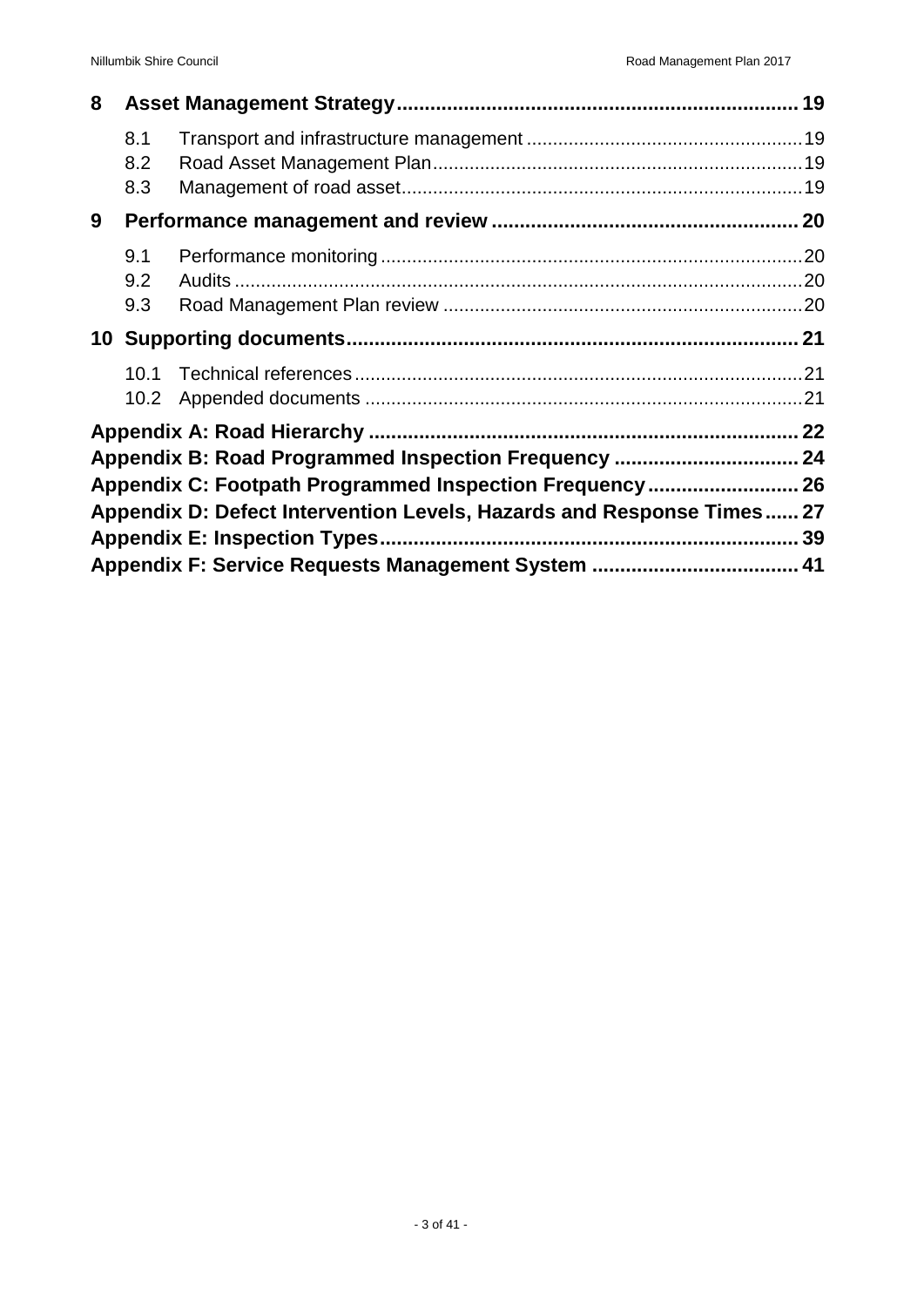| 8 |                           |                                                                                                                 |  |
|---|---------------------------|-----------------------------------------------------------------------------------------------------------------|--|
|   | 8.1<br>8.2<br>8.3         |                                                                                                                 |  |
| 9 |                           |                                                                                                                 |  |
|   | 9.1<br>9.2<br>9.3         |                                                                                                                 |  |
|   |                           |                                                                                                                 |  |
|   | 10.1<br>10.2 <sub>1</sub> |                                                                                                                 |  |
|   |                           | Appendix B: Road Programmed Inspection Frequency  24<br>Appendix C: Footpath Programmed Inspection Frequency 26 |  |
|   |                           | Appendix D: Defect Intervention Levels, Hazards and Response Times 27                                           |  |
|   |                           | Appendix F: Service Requests Management System  41                                                              |  |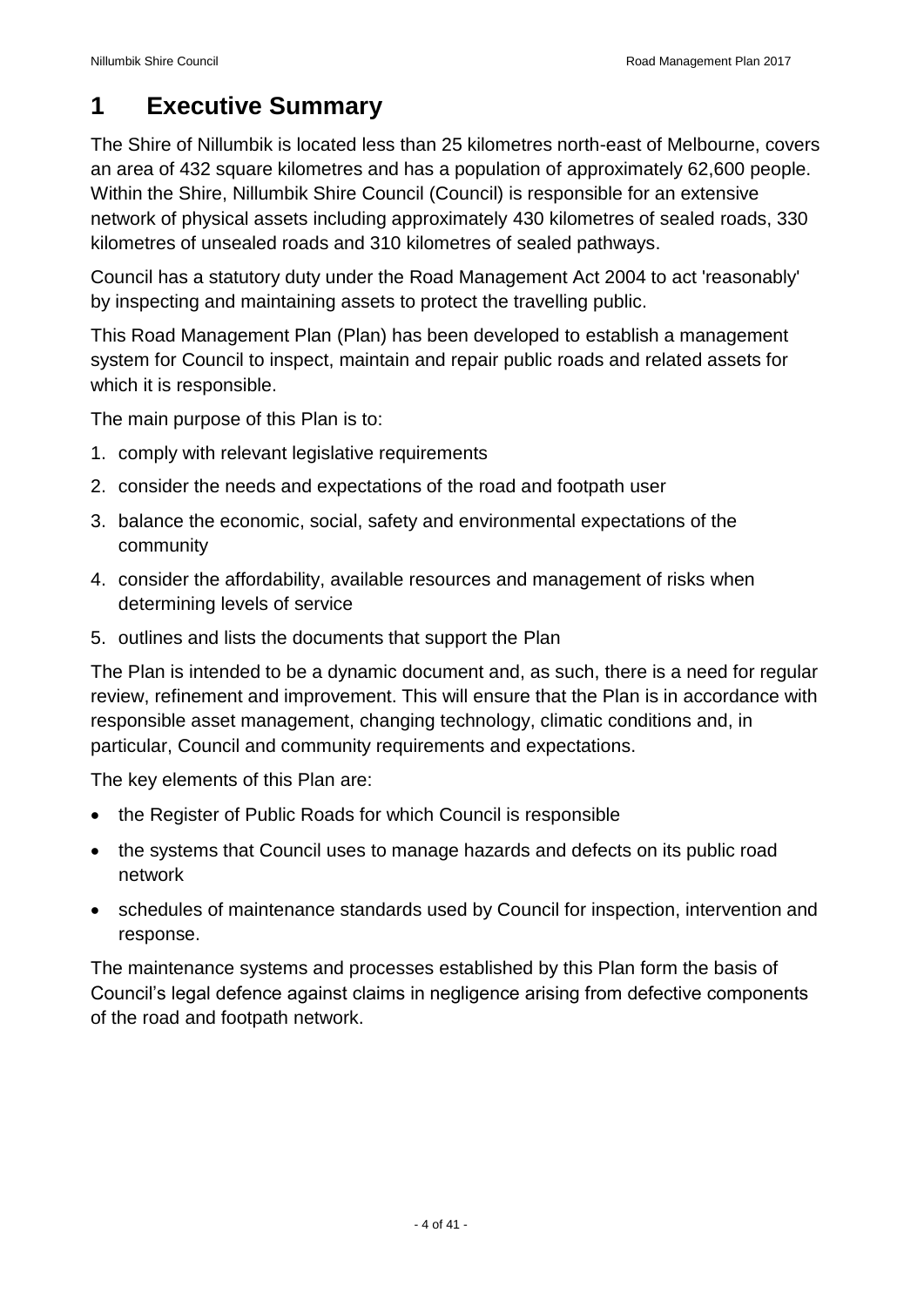## <span id="page-3-0"></span>**1 Executive Summary**

The Shire of Nillumbik is located less than 25 kilometres north-east of Melbourne, covers an area of 432 square kilometres and has a population of approximately 62,600 people. Within the Shire, Nillumbik Shire Council (Council) is responsible for an extensive network of physical assets including approximately 430 kilometres of sealed roads, 330 kilometres of unsealed roads and 310 kilometres of sealed pathways.

Council has a statutory duty under the Road Management Act 2004 to act 'reasonably' by inspecting and maintaining assets to protect the travelling public.

This Road Management Plan (Plan) has been developed to establish a management system for Council to inspect, maintain and repair public roads and related assets for which it is responsible.

The main purpose of this Plan is to:

- 1. comply with relevant legislative requirements
- 2. consider the needs and expectations of the road and footpath user
- 3. balance the economic, social, safety and environmental expectations of the community
- 4. consider the affordability, available resources and management of risks when determining levels of service
- 5. outlines and lists the documents that support the Plan

The Plan is intended to be a dynamic document and, as such, there is a need for regular review, refinement and improvement. This will ensure that the Plan is in accordance with responsible asset management, changing technology, climatic conditions and, in particular, Council and community requirements and expectations.

The key elements of this Plan are:

- the Register of Public Roads for which Council is responsible
- the systems that Council uses to manage hazards and defects on its public road network
- schedules of maintenance standards used by Council for inspection, intervention and response.

The maintenance systems and processes established by this Plan form the basis of Council's legal defence against claims in negligence arising from defective components of the road and footpath network.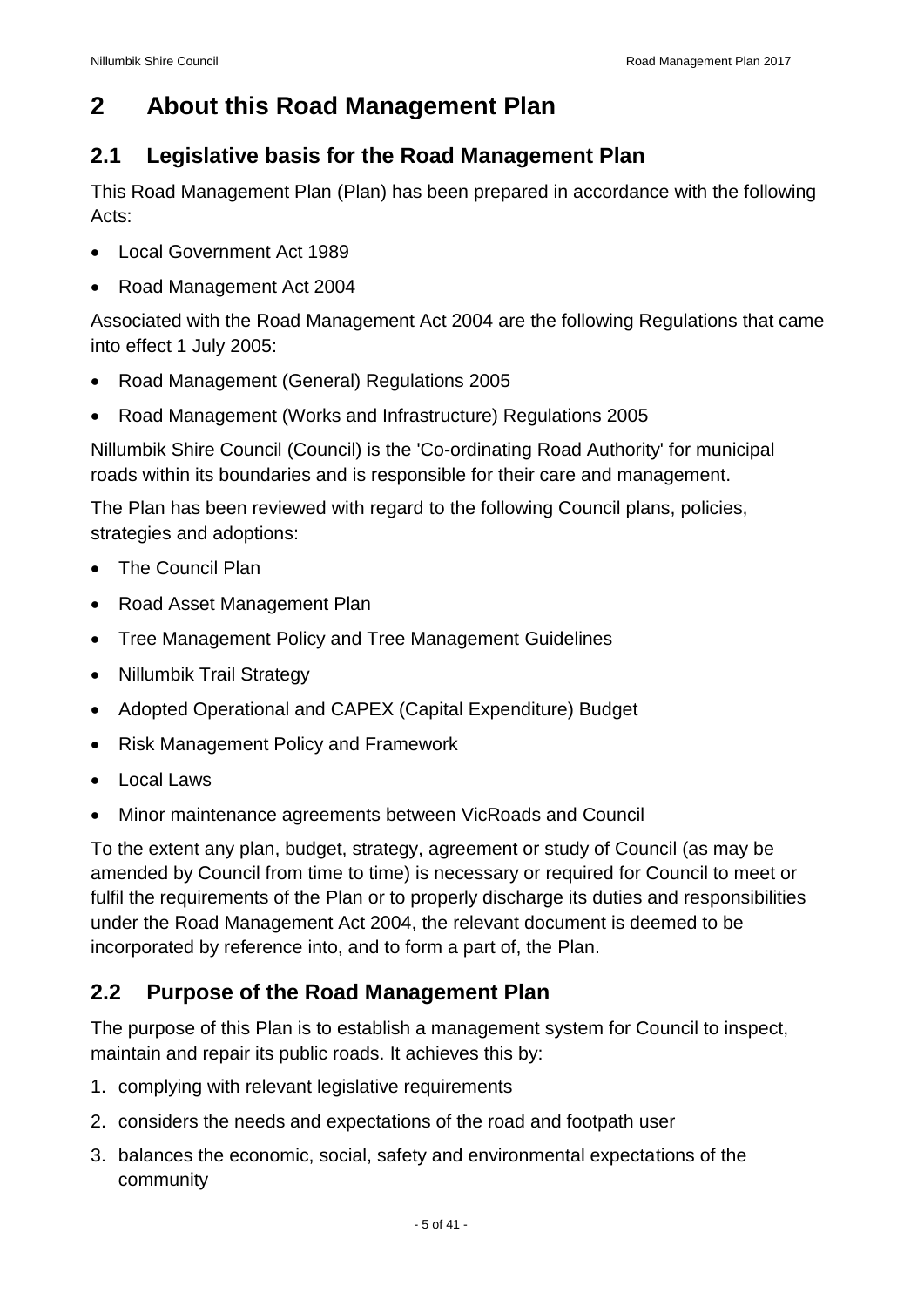## <span id="page-4-0"></span>**2 About this Road Management Plan**

#### <span id="page-4-1"></span>**2.1 Legislative basis for the Road Management Plan**

This Road Management Plan (Plan) has been prepared in accordance with the following Acts:

- Local Government Act 1989
- Road Management Act 2004

Associated with the Road Management Act 2004 are the following Regulations that came into effect 1 July 2005:

- Road Management (General) Regulations 2005
- Road Management (Works and Infrastructure) Regulations 2005

Nillumbik Shire Council (Council) is the 'Co-ordinating Road Authority' for municipal roads within its boundaries and is responsible for their care and management.

The Plan has been reviewed with regard to the following Council plans, policies, strategies and adoptions:

- The Council Plan
- Road Asset Management Plan
- Tree Management Policy and Tree Management Guidelines
- Nillumbik Trail Strategy
- Adopted Operational and CAPEX (Capital Expenditure) Budget
- Risk Management Policy and Framework
- Local Laws
- Minor maintenance agreements between VicRoads and Council

To the extent any plan, budget, strategy, agreement or study of Council (as may be amended by Council from time to time) is necessary or required for Council to meet or fulfil the requirements of the Plan or to properly discharge its duties and responsibilities under the Road Management Act 2004, the relevant document is deemed to be incorporated by reference into, and to form a part of, the Plan.

#### <span id="page-4-2"></span>**2.2 Purpose of the Road Management Plan**

The purpose of this Plan is to establish a management system for Council to inspect, maintain and repair its public roads. It achieves this by:

- 1. complying with relevant legislative requirements
- 2. considers the needs and expectations of the road and footpath user
- 3. balances the economic, social, safety and environmental expectations of the community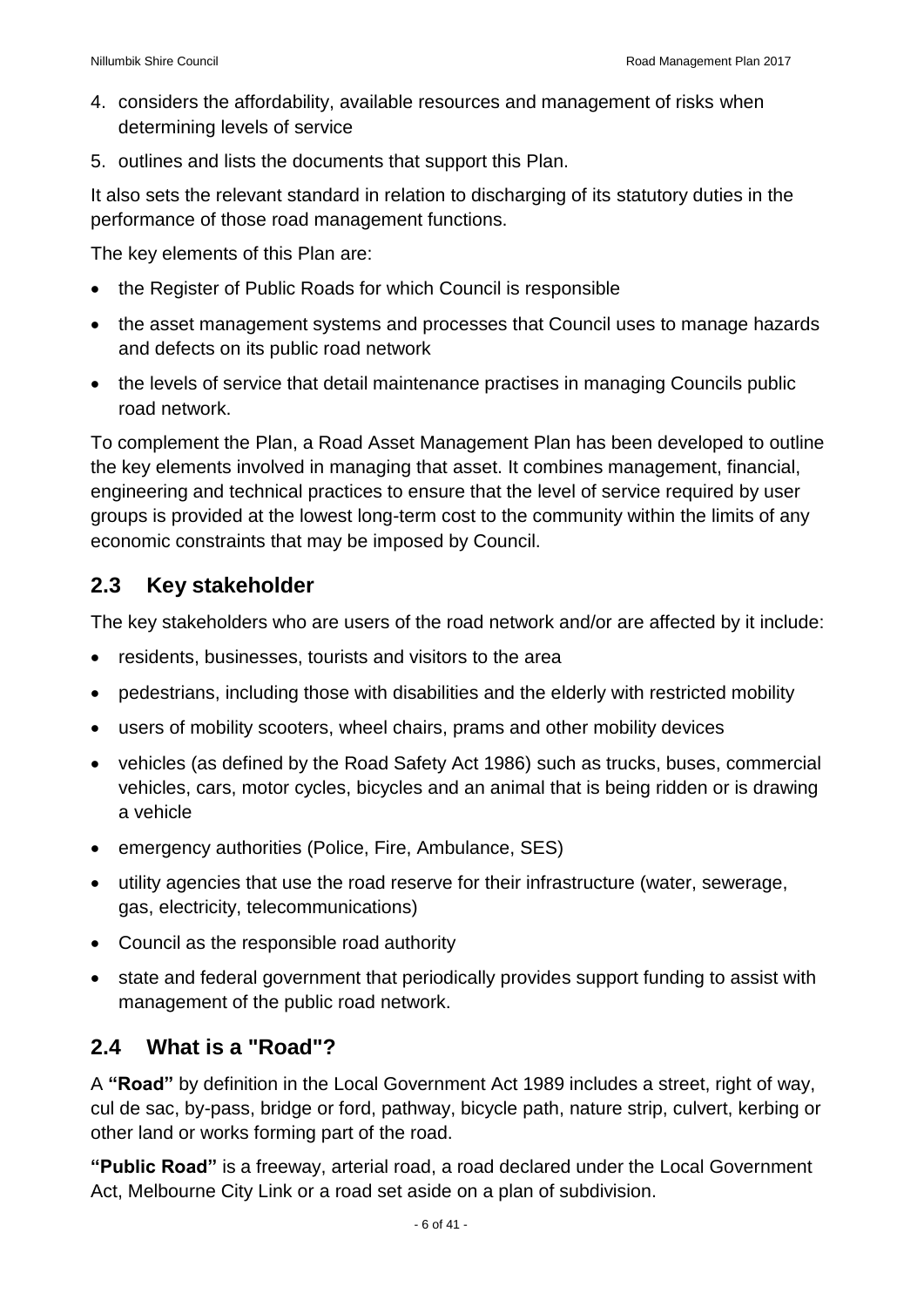- 4. considers the affordability, available resources and management of risks when determining levels of service
- 5. outlines and lists the documents that support this Plan.

It also sets the relevant standard in relation to discharging of its statutory duties in the performance of those road management functions.

The key elements of this Plan are:

- the Register of Public Roads for which Council is responsible
- the asset management systems and processes that Council uses to manage hazards and defects on its public road network
- the levels of service that detail maintenance practises in managing Councils public road network.

To complement the Plan, a Road Asset Management Plan has been developed to outline the key elements involved in managing that asset. It combines management, financial, engineering and technical practices to ensure that the level of service required by user groups is provided at the lowest long-term cost to the community within the limits of any economic constraints that may be imposed by Council.

#### <span id="page-5-0"></span>**2.3 Key stakeholder**

The key stakeholders who are users of the road network and/or are affected by it include:

- residents, businesses, tourists and visitors to the area
- pedestrians, including those with disabilities and the elderly with restricted mobility
- users of mobility scooters, wheel chairs, prams and other mobility devices
- vehicles (as defined by the Road Safety Act 1986) such as trucks, buses, commercial vehicles, cars, motor cycles, bicycles and an animal that is being ridden or is drawing a vehicle
- emergency authorities (Police, Fire, Ambulance, SES)
- utility agencies that use the road reserve for their infrastructure (water, sewerage, gas, electricity, telecommunications)
- Council as the responsible road authority
- state and federal government that periodically provides support funding to assist with management of the public road network.

#### <span id="page-5-1"></span>**2.4 What is a "Road"?**

A **"Road"** by definition in the Local Government Act 1989 includes a street, right of way, cul de sac, by-pass, bridge or ford, pathway, bicycle path, nature strip, culvert, kerbing or other land or works forming part of the road.

**"Public Road"** is a freeway, arterial road, a road declared under the Local Government Act, Melbourne City Link or a road set aside on a plan of subdivision.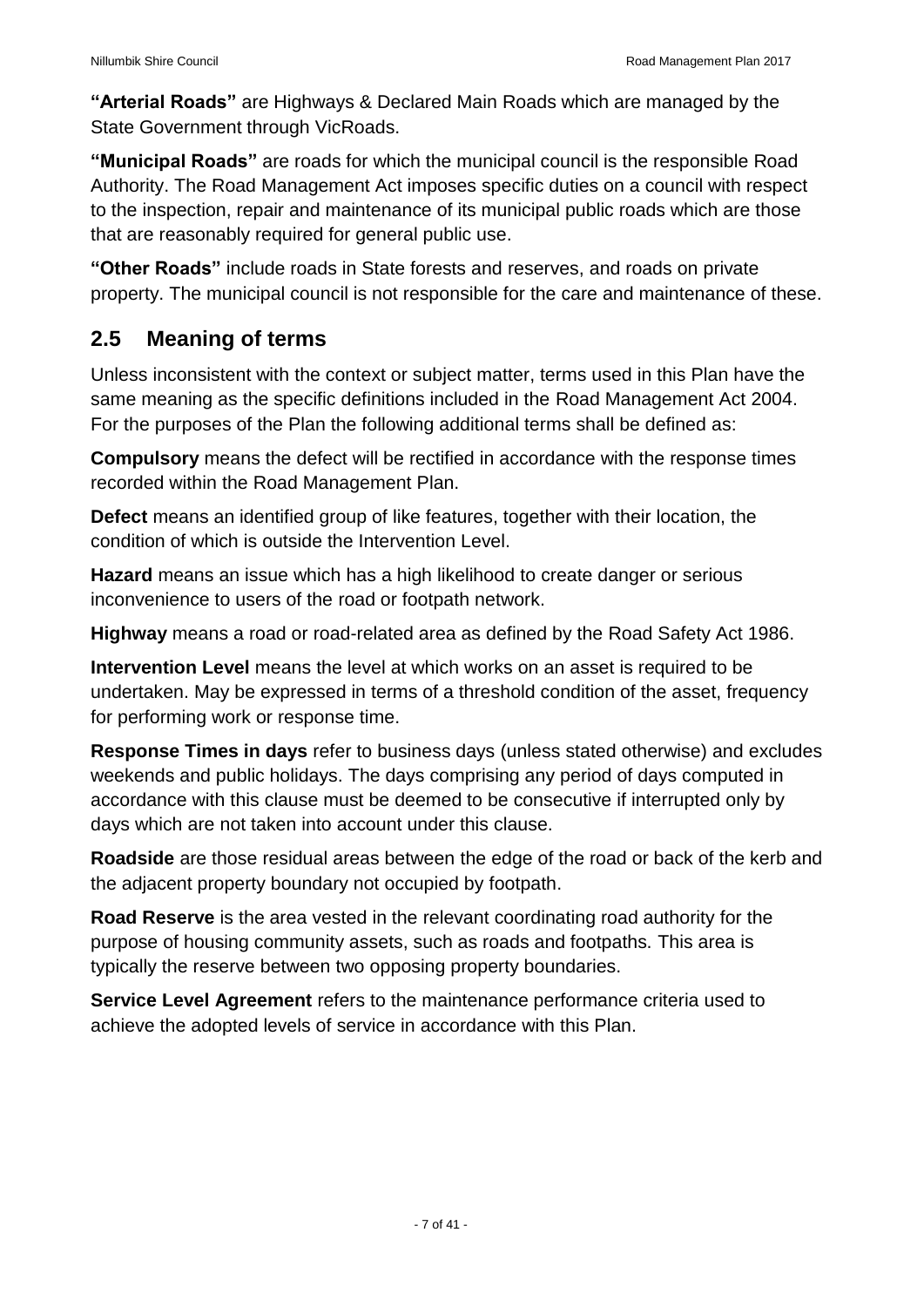**"Arterial Roads"** are Highways & Declared Main Roads which are managed by the State Government through VicRoads.

**"Municipal Roads"** are roads for which the municipal council is the responsible Road Authority. The Road Management Act imposes specific duties on a council with respect to the inspection, repair and maintenance of its municipal public roads which are those that are reasonably required for general public use.

**"Other Roads"** include roads in State forests and reserves, and roads on private property. The municipal council is not responsible for the care and maintenance of these.

#### <span id="page-6-0"></span>**2.5 Meaning of terms**

Unless inconsistent with the context or subject matter, terms used in this Plan have the same meaning as the specific definitions included in the Road Management Act 2004. For the purposes of the Plan the following additional terms shall be defined as:

**Compulsory** means the defect will be rectified in accordance with the response times recorded within the Road Management Plan.

**Defect** means an identified group of like features, together with their location, the condition of which is outside the Intervention Level.

**Hazard** means an issue which has a high likelihood to create danger or serious inconvenience to users of the road or footpath network.

**Highway** means a road or road-related area as defined by the Road Safety Act 1986.

**Intervention Level** means the level at which works on an asset is required to be undertaken. May be expressed in terms of a threshold condition of the asset, frequency for performing work or response time.

**Response Times in days** refer to business days (unless stated otherwise) and excludes weekends and public holidays. The days comprising any period of days computed in accordance with this clause must be deemed to be consecutive if interrupted only by days which are not taken into account under this clause.

**Roadside** are those residual areas between the edge of the road or back of the kerb and the adjacent property boundary not occupied by footpath.

**Road Reserve** is the area vested in the relevant coordinating road authority for the purpose of housing community assets, such as roads and footpaths. This area is typically the reserve between two opposing property boundaries.

**Service Level Agreement** refers to the maintenance performance criteria used to achieve the adopted levels of service in accordance with this Plan.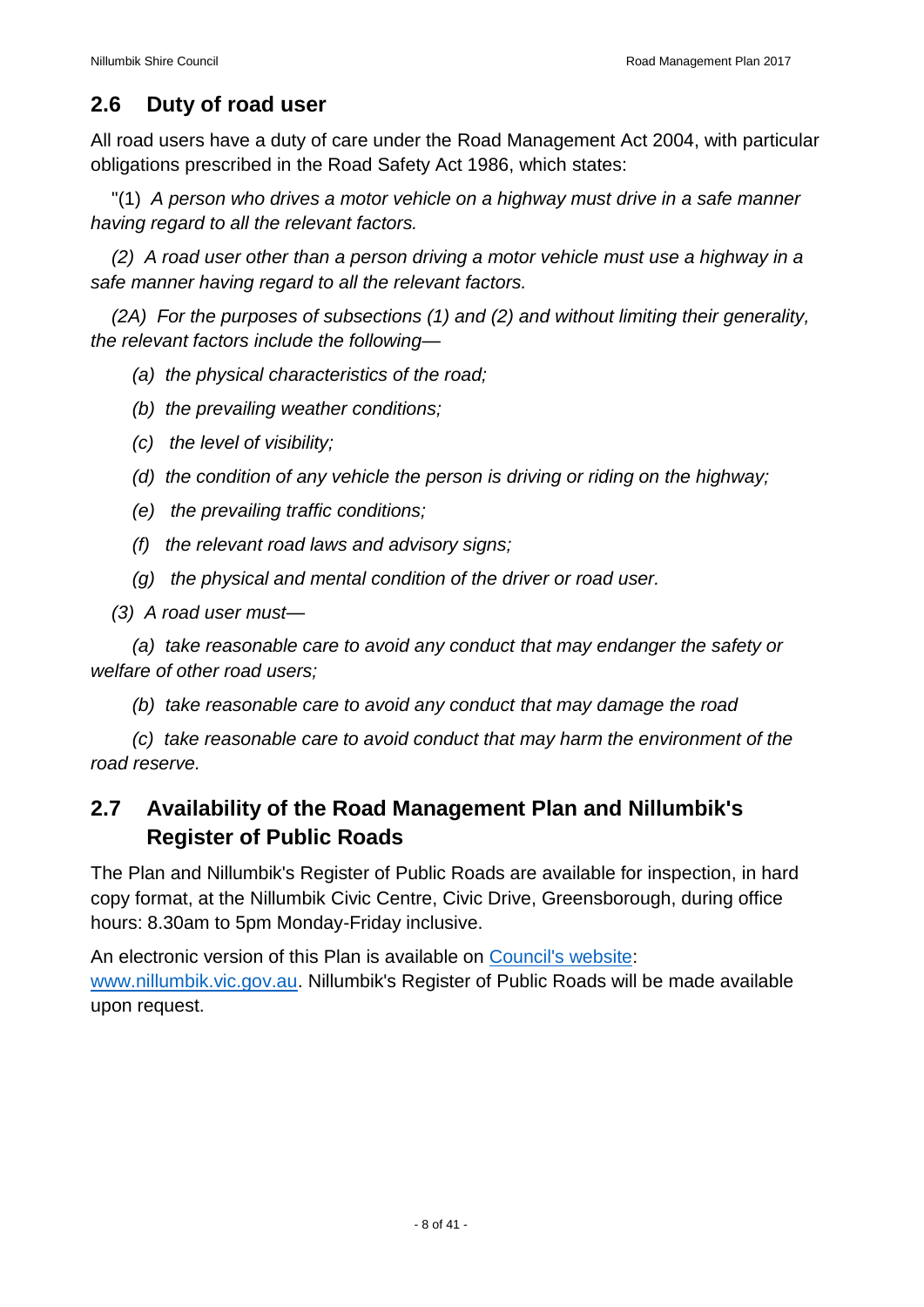#### <span id="page-7-0"></span>**2.6 Duty of road user**

All road users have a duty of care under the Road Management Act 2004, with particular obligations prescribed in the Road Safety Act 1986, which states:

"(1) *A person who drives a motor vehicle on a highway must drive in a safe manner having regard to all the relevant factors.* 

*(2) A road user other than a person driving a motor vehicle must use a highway in a safe manner having regard to all the relevant factors.* 

*(2A) For the purposes of subsections (1) and (2) and without limiting their generality, the relevant factors include the following—*

- *(a) the physical characteristics of the road;*
- *(b) the prevailing weather conditions;*
- *(c) the level of visibility;*
- *(d) the condition of any vehicle the person is driving or riding on the highway;*
- *(e) the prevailing traffic conditions;*
- *(f) the relevant road laws and advisory signs;*
- *(g) the physical and mental condition of the driver or road user.*
- *(3) A road user must—*

*(a) take reasonable care to avoid any conduct that may endanger the safety or welfare of other road users;* 

*(b) take reasonable care to avoid any conduct that may damage the road* 

*(c) take reasonable care to avoid conduct that may harm the environment of the road reserve.* 

#### <span id="page-7-1"></span>**2.7 Availability of the Road Management Plan and Nillumbik's Register of Public Roads**

The Plan and Nillumbik's Register of Public Roads are available for inspection, in hard copy format, at the Nillumbik Civic Centre, Civic Drive, Greensborough, during office hours: 8.30am to 5pm Monday-Friday inclusive.

An electronic version of this Plan is available on [Council's website:](http://www.nillumbik.vic.gov.au/Living-in/Roads-drains-and-paths) [www.nillumbik.vic.gov.au.](http://www.nillumbik.vic.gov.au/) Nillumbik's Register of Public Roads will be made available upon request.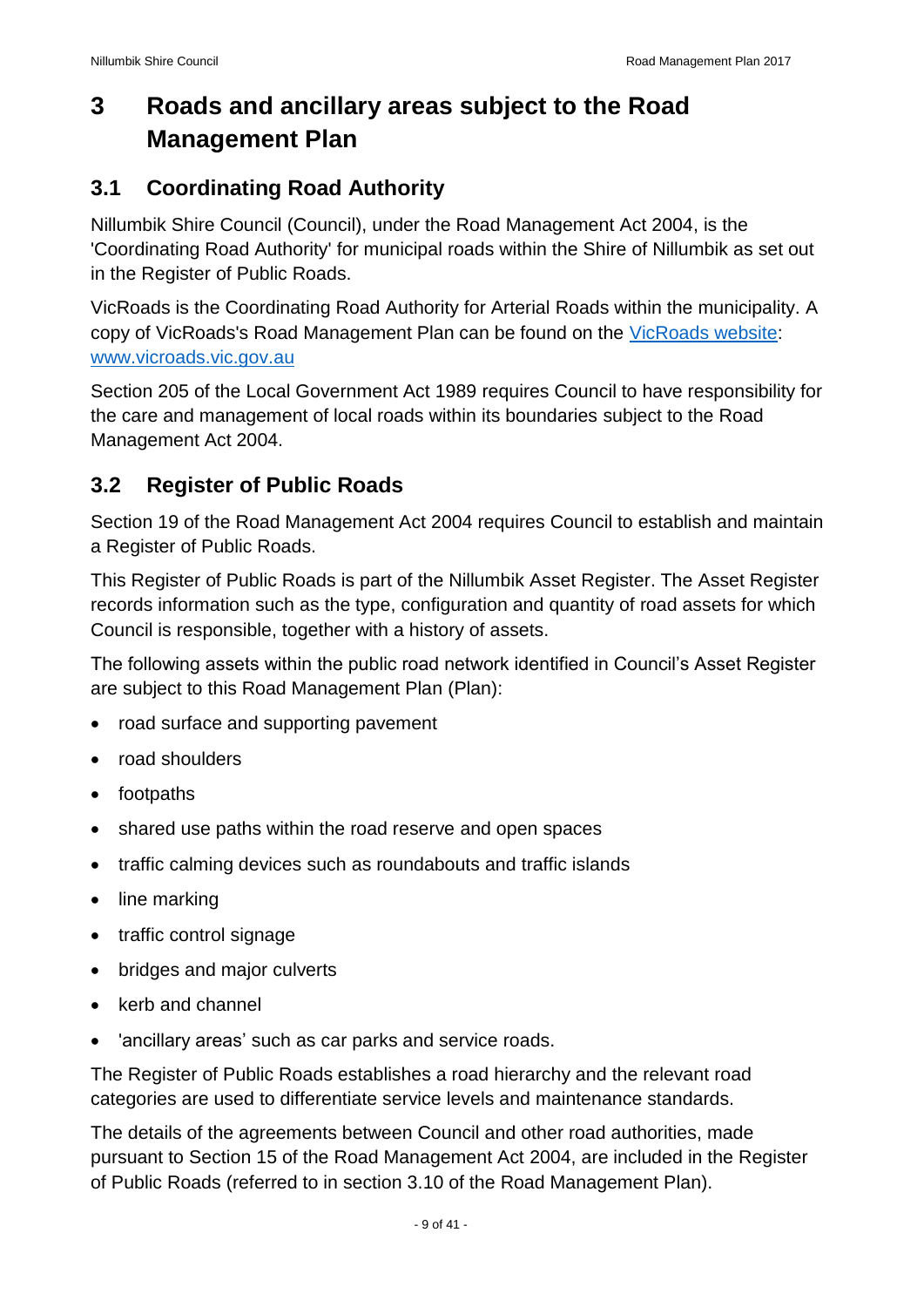## <span id="page-8-0"></span>**3 Roads and ancillary areas subject to the Road Management Plan**

#### <span id="page-8-1"></span>**3.1 Coordinating Road Authority**

Nillumbik Shire Council (Council), under the Road Management Act 2004, is the 'Coordinating Road Authority' for municipal roads within the Shire of Nillumbik as set out in the Register of Public Roads.

VicRoads is the Coordinating Road Authority for Arterial Roads within the municipality. A copy of VicRoads's Road Management Plan can be found on the [VicRoads website:](https://www.vicroads.vic.gov.au/) [www.vicroads.vic.gov.au](http://www.vicroads.vic.gov.au/)

Section 205 of the Local Government Act 1989 requires Council to have responsibility for the care and management of local roads within its boundaries subject to the Road Management Act 2004.

#### <span id="page-8-2"></span>**3.2 Register of Public Roads**

Section 19 of the Road Management Act 2004 requires Council to establish and maintain a Register of Public Roads.

This Register of Public Roads is part of the Nillumbik Asset Register. The Asset Register records information such as the type, configuration and quantity of road assets for which Council is responsible, together with a history of assets.

The following assets within the public road network identified in Council's Asset Register are subject to this Road Management Plan (Plan):

- road surface and supporting pavement
- road shoulders
- footpaths
- shared use paths within the road reserve and open spaces
- traffic calming devices such as roundabouts and traffic islands
- line marking
- traffic control signage
- bridges and major culverts
- $\bullet$  kerb and channel
- 'ancillary areas' such as car parks and service roads.

The Register of Public Roads establishes a road hierarchy and the relevant road categories are used to differentiate service levels and maintenance standards.

The details of the agreements between Council and other road authorities, made pursuant to Section 15 of the Road Management Act 2004, are included in the Register of Public Roads (referred to in section 3.10 of the Road Management Plan).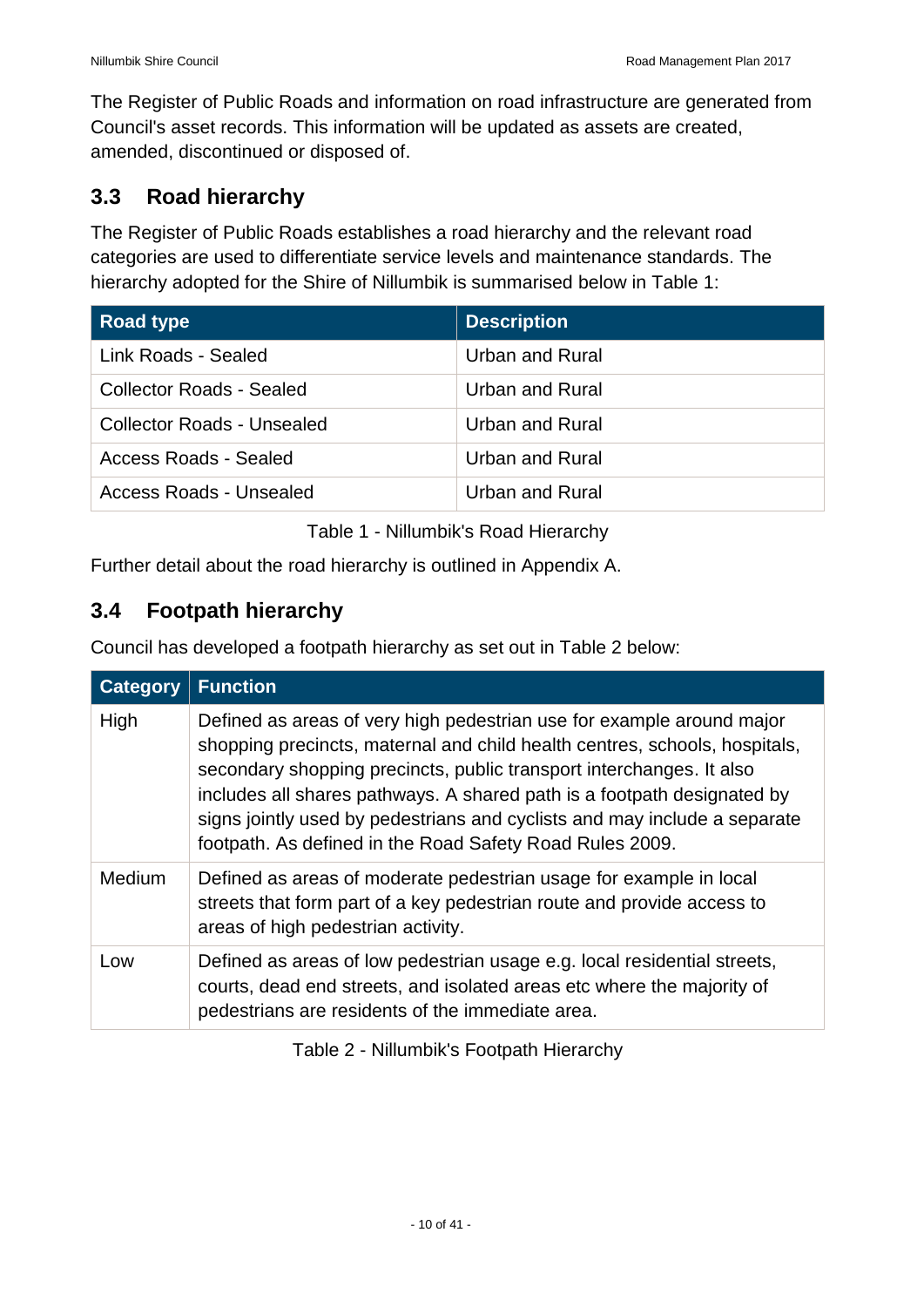The Register of Public Roads and information on road infrastructure are generated from Council's asset records. This information will be updated as assets are created, amended, discontinued or disposed of.

#### <span id="page-9-0"></span>**3.3 Road hierarchy**

The Register of Public Roads establishes a road hierarchy and the relevant road categories are used to differentiate service levels and maintenance standards. The hierarchy adopted for the Shire of Nillumbik is summarised below in Table 1:

| <b>Road type</b>                  | <b>Description</b>     |
|-----------------------------------|------------------------|
| Link Roads - Sealed               | Urban and Rural        |
| <b>Collector Roads - Sealed</b>   | Urban and Rural        |
| <b>Collector Roads - Unsealed</b> | <b>Urban and Rural</b> |
| Access Roads - Sealed             | Urban and Rural        |
| Access Roads - Unsealed           | Urban and Rural        |

Table 1 - Nillumbik's Road Hierarchy

Further detail about the road hierarchy is outlined in Appendix A.

#### <span id="page-9-1"></span>**3.4 Footpath hierarchy**

Council has developed a footpath hierarchy as set out in Table 2 below:

| <b>Category</b> | <b>Function</b>                                                                                                                                                                                                                                                                                                                                                                                                                                 |
|-----------------|-------------------------------------------------------------------------------------------------------------------------------------------------------------------------------------------------------------------------------------------------------------------------------------------------------------------------------------------------------------------------------------------------------------------------------------------------|
| High            | Defined as areas of very high pedestrian use for example around major<br>shopping precincts, maternal and child health centres, schools, hospitals,<br>secondary shopping precincts, public transport interchanges. It also<br>includes all shares pathways. A shared path is a footpath designated by<br>signs jointly used by pedestrians and cyclists and may include a separate<br>footpath. As defined in the Road Safety Road Rules 2009. |
| <b>Medium</b>   | Defined as areas of moderate pedestrian usage for example in local<br>streets that form part of a key pedestrian route and provide access to<br>areas of high pedestrian activity.                                                                                                                                                                                                                                                              |
| Low             | Defined as areas of low pedestrian usage e.g. local residential streets,<br>courts, dead end streets, and isolated areas etc where the majority of<br>pedestrians are residents of the immediate area.                                                                                                                                                                                                                                          |

Table 2 - Nillumbik's Footpath Hierarchy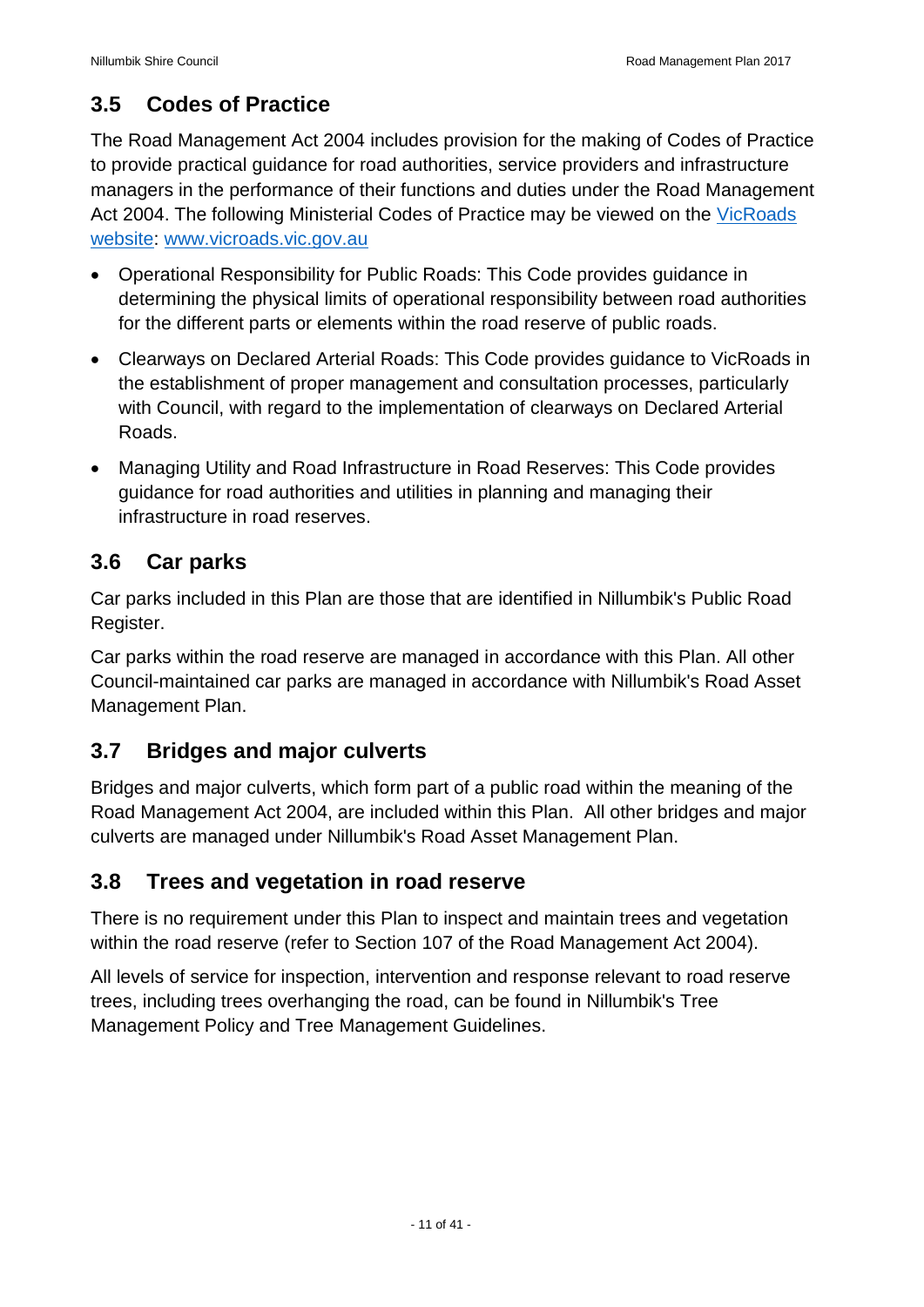#### <span id="page-10-0"></span>**3.5 Codes of Practice**

The Road Management Act 2004 includes provision for the making of Codes of Practice to provide practical guidance for road authorities, service providers and infrastructure managers in the performance of their functions and duties under the Road Management Act 2004. The following Ministerial Codes of Practice may be viewed on the VicRoads [website:](https://www.vicroads.vic.gov.au/) [www.vicroads.vic.gov.au](http://www.vicroads.vic.gov.au/)

- Operational Responsibility for Public Roads: This Code provides guidance in determining the physical limits of operational responsibility between road authorities for the different parts or elements within the road reserve of public roads.
- Clearways on Declared Arterial Roads: This Code provides guidance to VicRoads in the establishment of proper management and consultation processes, particularly with Council, with regard to the implementation of clearways on Declared Arterial Roads.
- Managing Utility and Road Infrastructure in Road Reserves: This Code provides guidance for road authorities and utilities in planning and managing their infrastructure in road reserves.

#### <span id="page-10-1"></span>**3.6 Car parks**

Car parks included in this Plan are those that are identified in Nillumbik's Public Road Register.

Car parks within the road reserve are managed in accordance with this Plan. All other Council-maintained car parks are managed in accordance with Nillumbik's Road Asset Management Plan.

## <span id="page-10-2"></span>**3.7 Bridges and major culverts**

Bridges and major culverts, which form part of a public road within the meaning of the Road Management Act 2004, are included within this Plan. All other bridges and major culverts are managed under Nillumbik's Road Asset Management Plan.

#### <span id="page-10-3"></span>**3.8 Trees and vegetation in road reserve**

There is no requirement under this Plan to inspect and maintain trees and vegetation within the road reserve (refer to Section 107 of the Road Management Act 2004).

All levels of service for inspection, intervention and response relevant to road reserve trees, including trees overhanging the road, can be found in Nillumbik's Tree Management Policy and Tree Management Guidelines.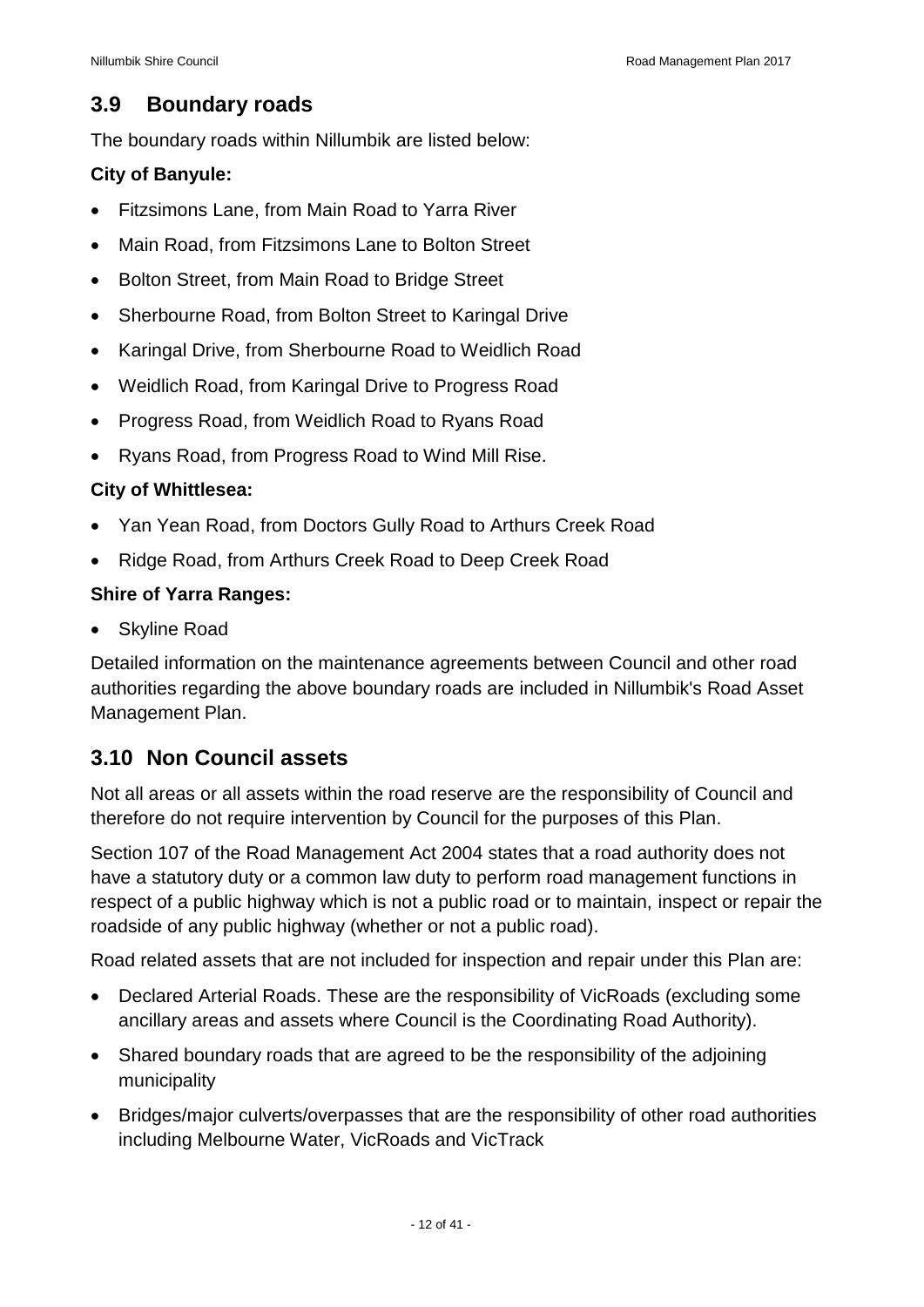#### <span id="page-11-0"></span>**3.9 Boundary roads**

The boundary roads within Nillumbik are listed below:

#### **City of Banyule:**

- Fitzsimons Lane, from Main Road to Yarra River
- Main Road, from Fitzsimons Lane to Bolton Street
- Bolton Street, from Main Road to Bridge Street
- Sherbourne Road, from Bolton Street to Karingal Drive
- Karingal Drive, from Sherbourne Road to Weidlich Road
- Weidlich Road, from Karingal Drive to Progress Road
- Progress Road, from Weidlich Road to Ryans Road
- Ryans Road, from Progress Road to Wind Mill Rise.

#### **City of Whittlesea:**

- Yan Yean Road, from Doctors Gully Road to Arthurs Creek Road
- Ridge Road, from Arthurs Creek Road to Deep Creek Road

#### **Shire of Yarra Ranges:**

Skyline Road

Detailed information on the maintenance agreements between Council and other road authorities regarding the above boundary roads are included in Nillumbik's Road Asset Management Plan.

#### <span id="page-11-1"></span>**3.10 Non Council assets**

Not all areas or all assets within the road reserve are the responsibility of Council and therefore do not require intervention by Council for the purposes of this Plan.

Section 107 of the Road Management Act 2004 states that a road authority does not have a statutory duty or a common law duty to perform road management functions in respect of a public highway which is not a public road or to maintain, inspect or repair the roadside of any public highway (whether or not a public road).

Road related assets that are not included for inspection and repair under this Plan are:

- Declared Arterial Roads. These are the responsibility of VicRoads (excluding some ancillary areas and assets where Council is the Coordinating Road Authority).
- Shared boundary roads that are agreed to be the responsibility of the adjoining municipality
- Bridges/major culverts/overpasses that are the responsibility of other road authorities including Melbourne Water, VicRoads and VicTrack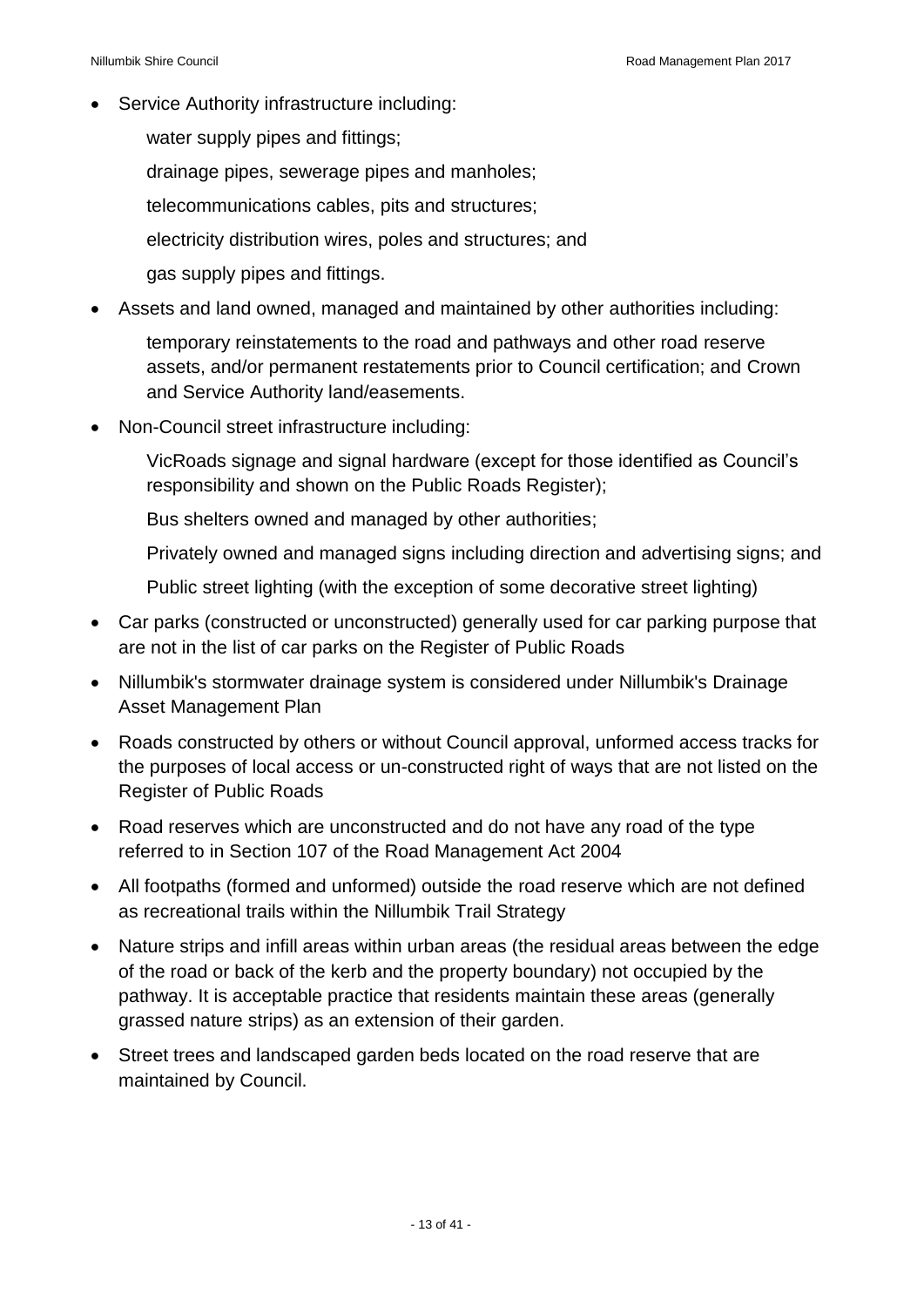• Service Authority infrastructure including:

water supply pipes and fittings; drainage pipes, sewerage pipes and manholes; telecommunications cables, pits and structures; electricity distribution wires, poles and structures; and gas supply pipes and fittings.

Assets and land owned, managed and maintained by other authorities including:

temporary reinstatements to the road and pathways and other road reserve assets, and/or permanent restatements prior to Council certification; and Crown and Service Authority land/easements.

Non-Council street infrastructure including:

VicRoads signage and signal hardware (except for those identified as Council's responsibility and shown on the Public Roads Register);

Bus shelters owned and managed by other authorities;

Privately owned and managed signs including direction and advertising signs; and

Public street lighting (with the exception of some decorative street lighting)

- Car parks (constructed or unconstructed) generally used for car parking purpose that are not in the list of car parks on the Register of Public Roads
- Nillumbik's stormwater drainage system is considered under Nillumbik's Drainage Asset Management Plan
- Roads constructed by others or without Council approval, unformed access tracks for the purposes of local access or un-constructed right of ways that are not listed on the Register of Public Roads
- Road reserves which are unconstructed and do not have any road of the type referred to in Section 107 of the Road Management Act 2004
- All footpaths (formed and unformed) outside the road reserve which are not defined as recreational trails within the Nillumbik Trail Strategy
- Nature strips and infill areas within urban areas (the residual areas between the edge of the road or back of the kerb and the property boundary) not occupied by the pathway. It is acceptable practice that residents maintain these areas (generally grassed nature strips) as an extension of their garden.
- Street trees and landscaped garden beds located on the road reserve that are maintained by Council.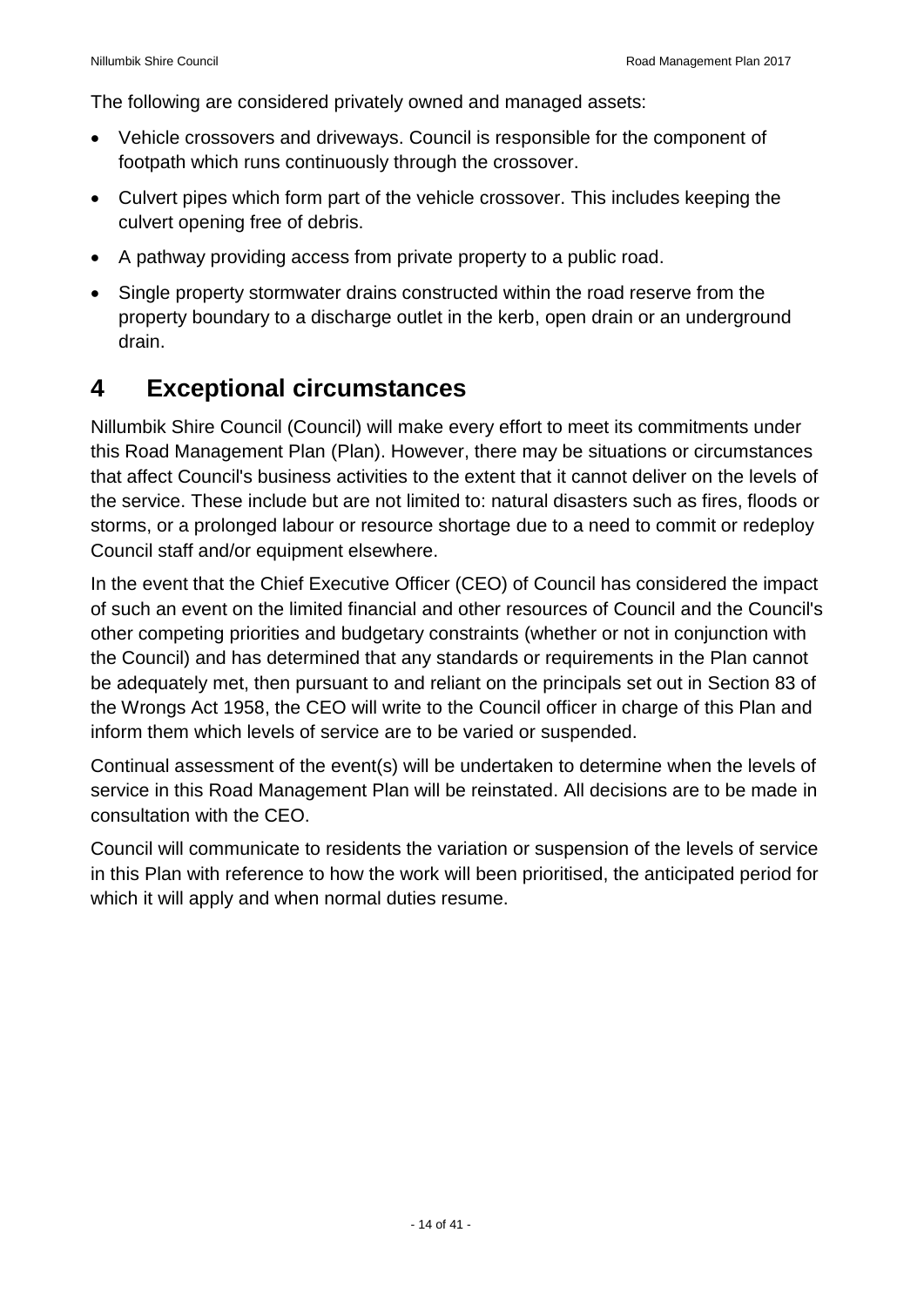The following are considered privately owned and managed assets:

- Vehicle crossovers and driveways. Council is responsible for the component of footpath which runs continuously through the crossover.
- Culvert pipes which form part of the vehicle crossover. This includes keeping the culvert opening free of debris.
- A pathway providing access from private property to a public road.
- Single property stormwater drains constructed within the road reserve from the property boundary to a discharge outlet in the kerb, open drain or an underground drain.

## <span id="page-13-0"></span>**4 Exceptional circumstances**

Nillumbik Shire Council (Council) will make every effort to meet its commitments under this Road Management Plan (Plan). However, there may be situations or circumstances that affect Council's business activities to the extent that it cannot deliver on the levels of the service. These include but are not limited to: natural disasters such as fires, floods or storms, or a prolonged labour or resource shortage due to a need to commit or redeploy Council staff and/or equipment elsewhere.

In the event that the Chief Executive Officer (CEO) of Council has considered the impact of such an event on the limited financial and other resources of Council and the Council's other competing priorities and budgetary constraints (whether or not in conjunction with the Council) and has determined that any standards or requirements in the Plan cannot be adequately met, then pursuant to and reliant on the principals set out in Section 83 of the Wrongs Act 1958, the CEO will write to the Council officer in charge of this Plan and inform them which levels of service are to be varied or suspended.

Continual assessment of the event(s) will be undertaken to determine when the levels of service in this Road Management Plan will be reinstated. All decisions are to be made in consultation with the CEO.

Council will communicate to residents the variation or suspension of the levels of service in this Plan with reference to how the work will been prioritised, the anticipated period for which it will apply and when normal duties resume.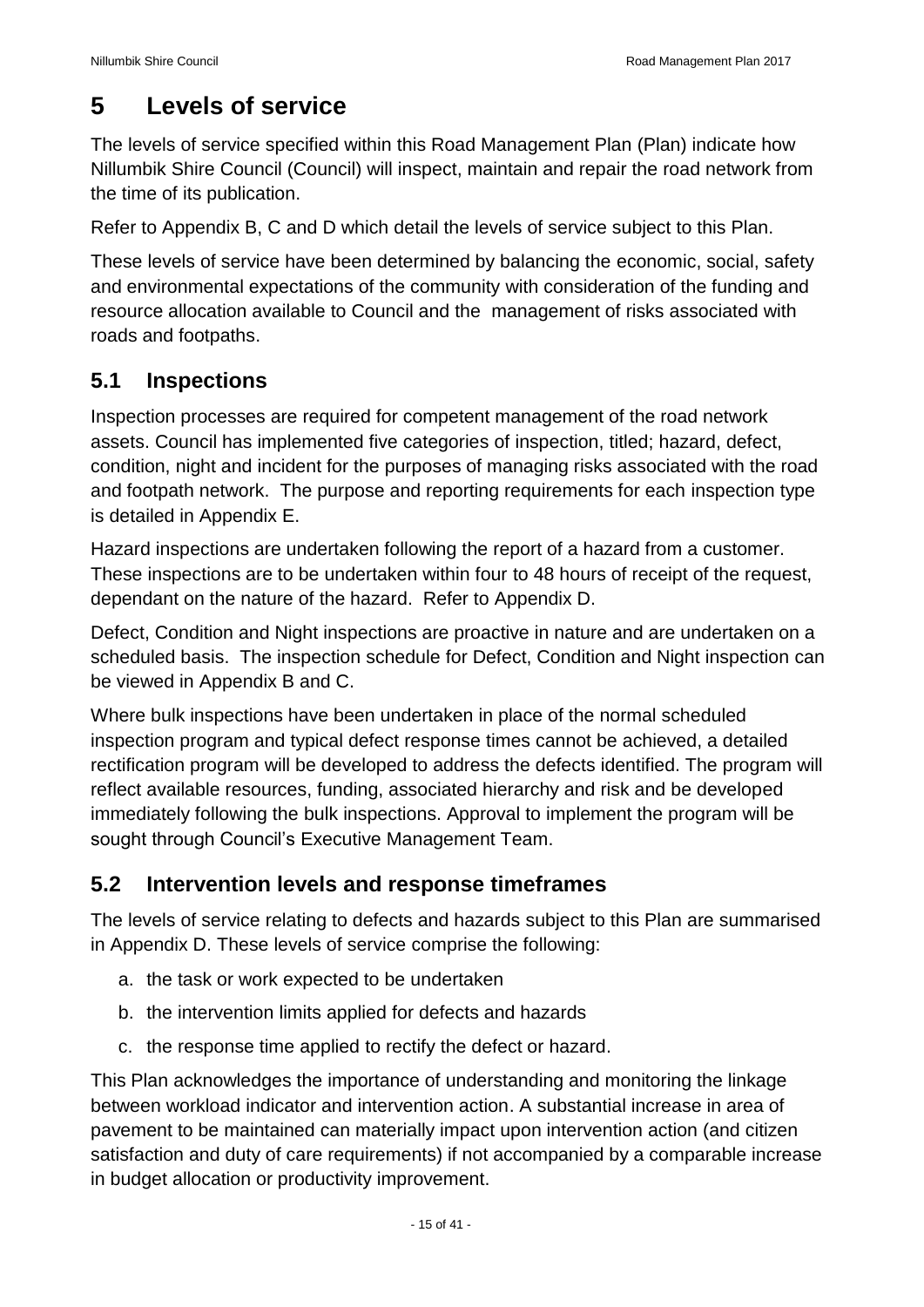## <span id="page-14-0"></span>**5 Levels of service**

The levels of service specified within this Road Management Plan (Plan) indicate how Nillumbik Shire Council (Council) will inspect, maintain and repair the road network from the time of its publication.

Refer to Appendix B, C and D which detail the levels of service subject to this Plan.

These levels of service have been determined by balancing the economic, social, safety and environmental expectations of the community with consideration of the funding and resource allocation available to Council and the management of risks associated with roads and footpaths.

#### <span id="page-14-1"></span>**5.1 Inspections**

Inspection processes are required for competent management of the road network assets. Council has implemented five categories of inspection, titled; hazard, defect, condition, night and incident for the purposes of managing risks associated with the road and footpath network. The purpose and reporting requirements for each inspection type is detailed in Appendix E.

Hazard inspections are undertaken following the report of a hazard from a customer. These inspections are to be undertaken within four to 48 hours of receipt of the request, dependant on the nature of the hazard. Refer to Appendix D.

Defect, Condition and Night inspections are proactive in nature and are undertaken on a scheduled basis. The inspection schedule for Defect, Condition and Night inspection can be viewed in Appendix B and C.

Where bulk inspections have been undertaken in place of the normal scheduled inspection program and typical defect response times cannot be achieved, a detailed rectification program will be developed to address the defects identified. The program will reflect available resources, funding, associated hierarchy and risk and be developed immediately following the bulk inspections. Approval to implement the program will be sought through Council's Executive Management Team.

#### <span id="page-14-2"></span>**5.2 Intervention levels and response timeframes**

The levels of service relating to defects and hazards subject to this Plan are summarised in Appendix D. These levels of service comprise the following:

- a. the task or work expected to be undertaken
- b. the intervention limits applied for defects and hazards
- c. the response time applied to rectify the defect or hazard.

This Plan acknowledges the importance of understanding and monitoring the linkage between workload indicator and intervention action. A substantial increase in area of pavement to be maintained can materially impact upon intervention action (and citizen satisfaction and duty of care requirements) if not accompanied by a comparable increase in budget allocation or productivity improvement.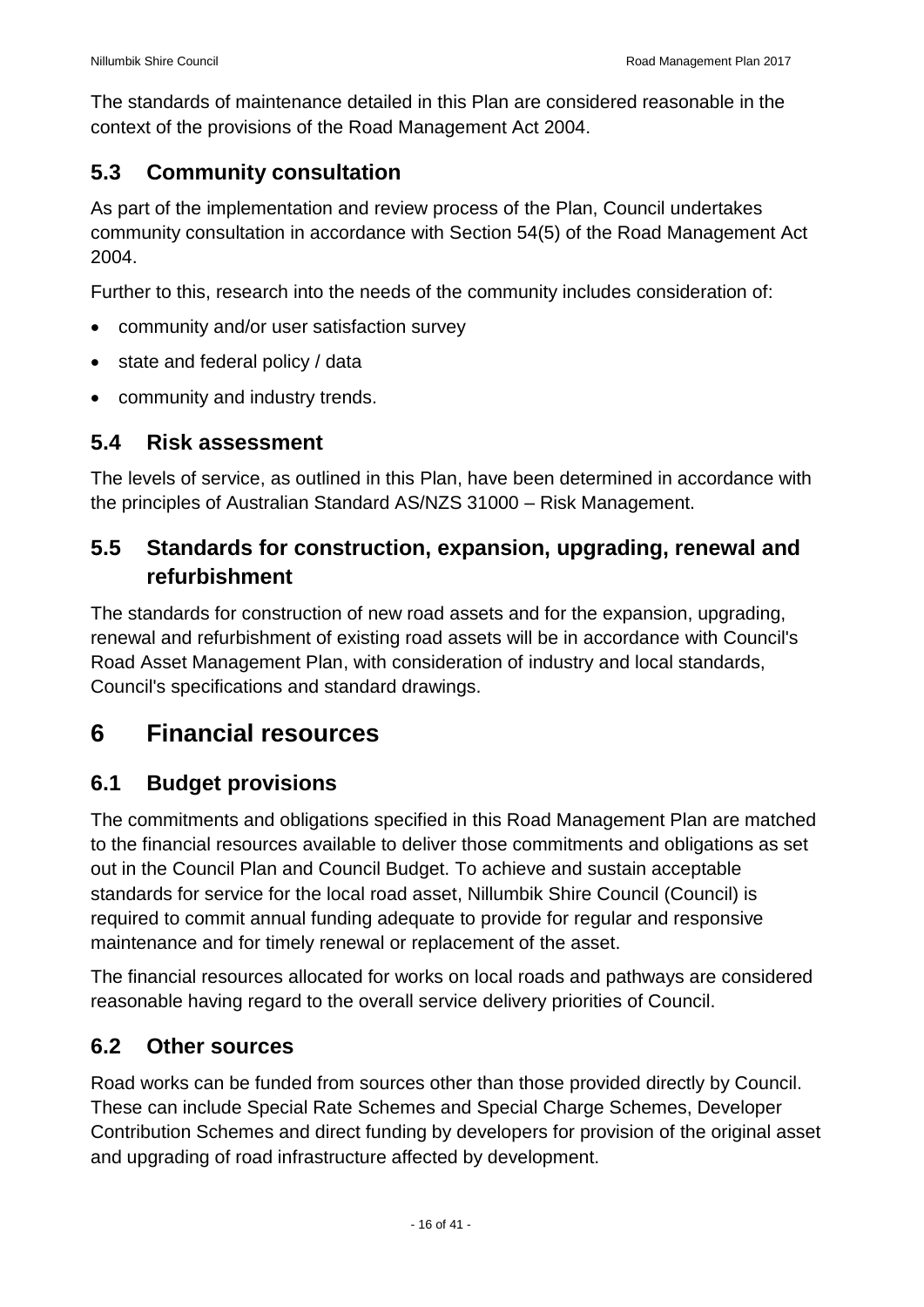The standards of maintenance detailed in this Plan are considered reasonable in the context of the provisions of the Road Management Act 2004.

#### <span id="page-15-0"></span>**5.3 Community consultation**

As part of the implementation and review process of the Plan, Council undertakes community consultation in accordance with Section 54(5) of the Road Management Act 2004.

Further to this, research into the needs of the community includes consideration of:

- community and/or user satisfaction survey
- state and federal policy / data
- community and industry trends.

#### <span id="page-15-1"></span>**5.4 Risk assessment**

The levels of service, as outlined in this Plan, have been determined in accordance with the principles of Australian Standard AS/NZS 31000 – Risk Management.

#### <span id="page-15-2"></span>**5.5 Standards for construction, expansion, upgrading, renewal and refurbishment**

The standards for construction of new road assets and for the expansion, upgrading, renewal and refurbishment of existing road assets will be in accordance with Council's Road Asset Management Plan, with consideration of industry and local standards, Council's specifications and standard drawings.

## <span id="page-15-3"></span>**6 Financial resources**

#### <span id="page-15-4"></span>**6.1 Budget provisions**

The commitments and obligations specified in this Road Management Plan are matched to the financial resources available to deliver those commitments and obligations as set out in the Council Plan and Council Budget. To achieve and sustain acceptable standards for service for the local road asset, Nillumbik Shire Council (Council) is required to commit annual funding adequate to provide for regular and responsive maintenance and for timely renewal or replacement of the asset.

The financial resources allocated for works on local roads and pathways are considered reasonable having regard to the overall service delivery priorities of Council.

#### <span id="page-15-5"></span>**6.2 Other sources**

Road works can be funded from sources other than those provided directly by Council. These can include Special Rate Schemes and Special Charge Schemes, Developer Contribution Schemes and direct funding by developers for provision of the original asset and upgrading of road infrastructure affected by development.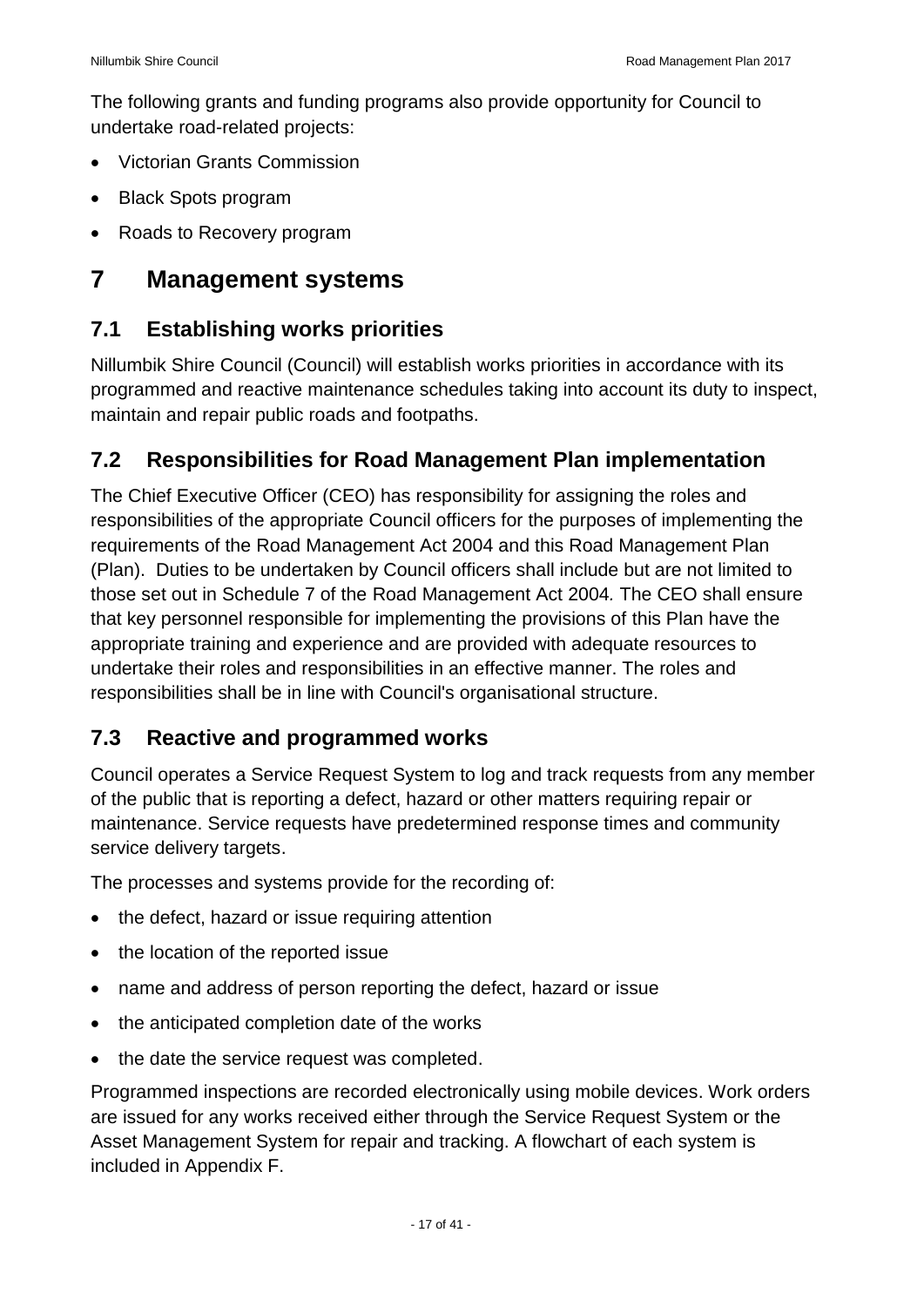The following grants and funding programs also provide opportunity for Council to undertake road-related projects:

- Victorian Grants Commission
- Black Spots program
- Roads to Recovery program

## <span id="page-16-0"></span>**7 Management systems**

#### <span id="page-16-1"></span>**7.1 Establishing works priorities**

Nillumbik Shire Council (Council) will establish works priorities in accordance with its programmed and reactive maintenance schedules taking into account its duty to inspect, maintain and repair public roads and footpaths.

#### <span id="page-16-2"></span>**7.2 Responsibilities for Road Management Plan implementation**

The Chief Executive Officer (CEO) has responsibility for assigning the roles and responsibilities of the appropriate Council officers for the purposes of implementing the requirements of the Road Management Act 2004 and this Road Management Plan (Plan). Duties to be undertaken by Council officers shall include but are not limited to those set out in Schedule 7 of the Road Management Act 2004*.* The CEO shall ensure that key personnel responsible for implementing the provisions of this Plan have the appropriate training and experience and are provided with adequate resources to undertake their roles and responsibilities in an effective manner. The roles and responsibilities shall be in line with Council's organisational structure.

#### <span id="page-16-3"></span>**7.3 Reactive and programmed works**

Council operates a Service Request System to log and track requests from any member of the public that is reporting a defect, hazard or other matters requiring repair or maintenance. Service requests have predetermined response times and community service delivery targets.

The processes and systems provide for the recording of:

- the defect, hazard or issue requiring attention
- the location of the reported issue
- name and address of person reporting the defect, hazard or issue
- the anticipated completion date of the works
- the date the service request was completed.

Programmed inspections are recorded electronically using mobile devices. Work orders are issued for any works received either through the Service Request System or the Asset Management System for repair and tracking. A flowchart of each system is included in Appendix F.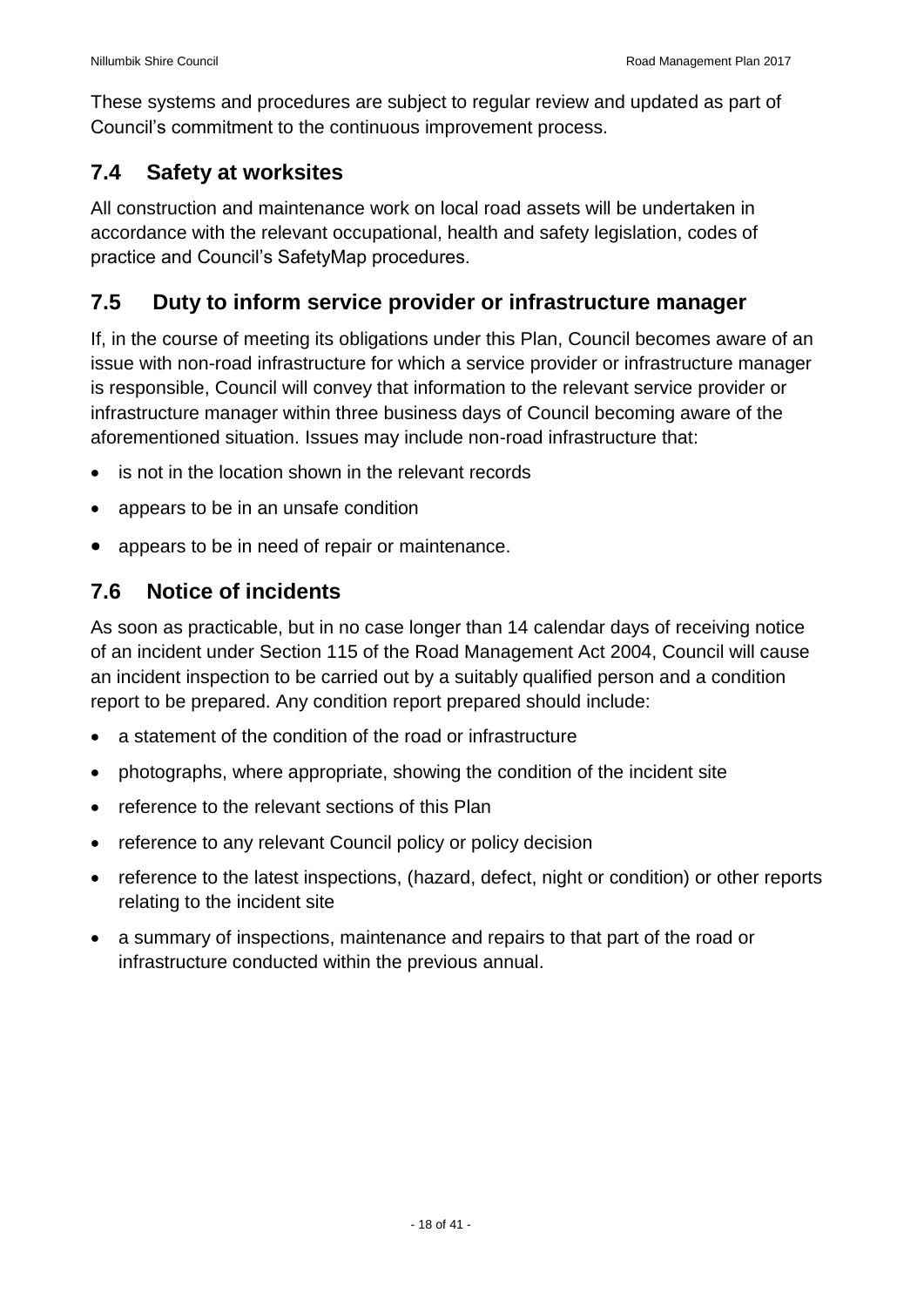These systems and procedures are subject to regular review and updated as part of Council's commitment to the continuous improvement process.

#### <span id="page-17-0"></span>**7.4 Safety at worksites**

All construction and maintenance work on local road assets will be undertaken in accordance with the relevant occupational, health and safety legislation, codes of practice and Council's SafetyMap procedures.

#### <span id="page-17-1"></span>**7.5 Duty to inform service provider or infrastructure manager**

If, in the course of meeting its obligations under this Plan, Council becomes aware of an issue with non-road infrastructure for which a service provider or infrastructure manager is responsible, Council will convey that information to the relevant service provider or infrastructure manager within three business days of Council becoming aware of the aforementioned situation. Issues may include non-road infrastructure that:

- is not in the location shown in the relevant records
- appears to be in an unsafe condition
- appears to be in need of repair or maintenance.

#### <span id="page-17-2"></span>**7.6 Notice of incidents**

As soon as practicable, but in no case longer than 14 calendar days of receiving notice of an incident under Section 115 of the Road Management Act 2004, Council will cause an incident inspection to be carried out by a suitably qualified person and a condition report to be prepared. Any condition report prepared should include:

- a statement of the condition of the road or infrastructure
- photographs, where appropriate, showing the condition of the incident site
- reference to the relevant sections of this Plan
- reference to any relevant Council policy or policy decision
- reference to the latest inspections, (hazard, defect, night or condition) or other reports relating to the incident site
- a summary of inspections, maintenance and repairs to that part of the road or infrastructure conducted within the previous annual.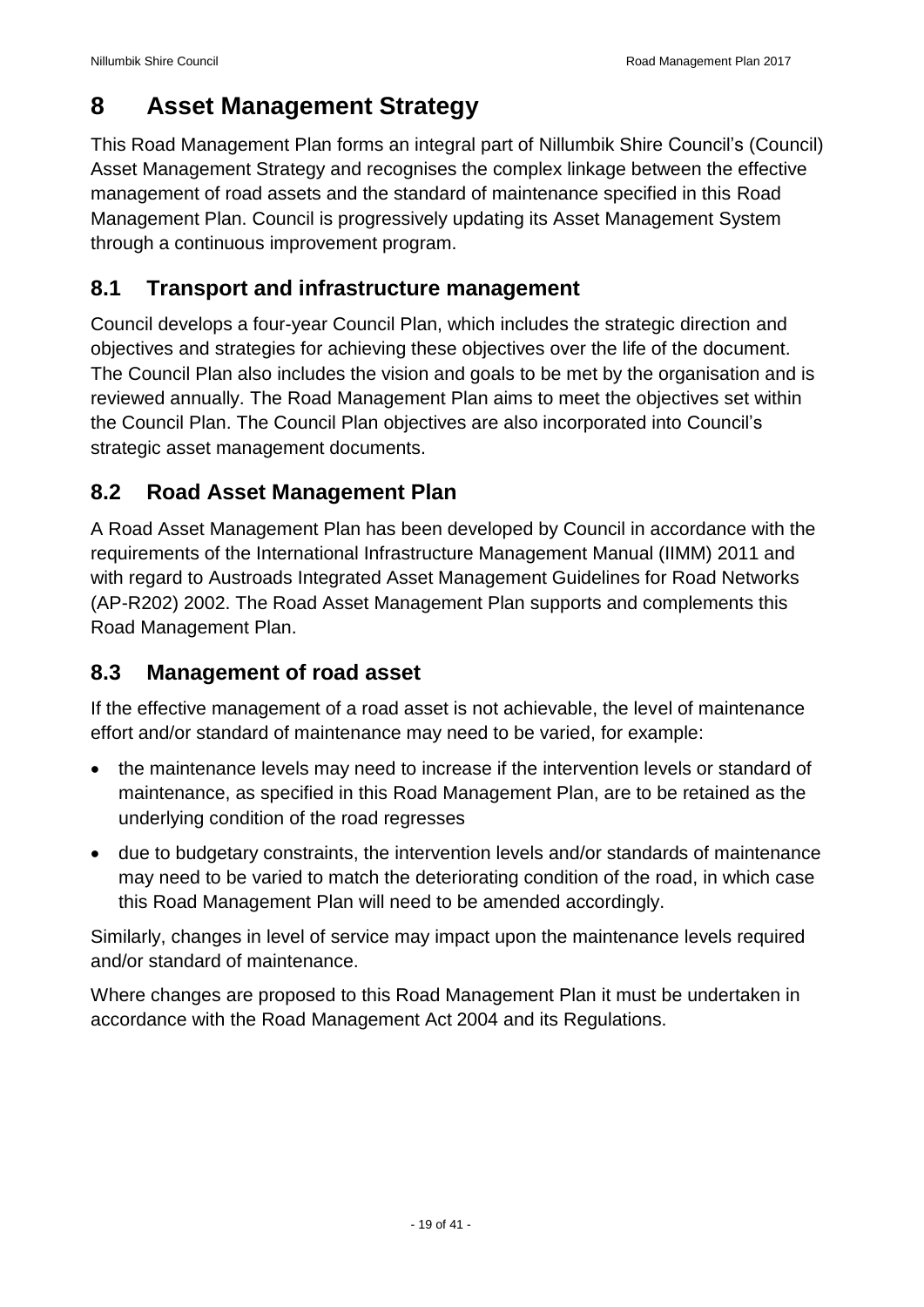## <span id="page-18-0"></span>**8 Asset Management Strategy**

This Road Management Plan forms an integral part of Nillumbik Shire Council's (Council) Asset Management Strategy and recognises the complex linkage between the effective management of road assets and the standard of maintenance specified in this Road Management Plan. Council is progressively updating its Asset Management System through a continuous improvement program.

#### <span id="page-18-1"></span>**8.1 Transport and infrastructure management**

Council develops a four-year Council Plan, which includes the strategic direction and objectives and strategies for achieving these objectives over the life of the document. The Council Plan also includes the vision and goals to be met by the organisation and is reviewed annually. The Road Management Plan aims to meet the objectives set within the Council Plan. The Council Plan objectives are also incorporated into Council's strategic asset management documents.

#### <span id="page-18-2"></span>**8.2 Road Asset Management Plan**

A Road Asset Management Plan has been developed by Council in accordance with the requirements of the International Infrastructure Management Manual (IIMM) 2011 and with regard to Austroads Integrated Asset Management Guidelines for Road Networks (AP-R202) 2002. The Road Asset Management Plan supports and complements this Road Management Plan.

#### <span id="page-18-3"></span>**8.3 Management of road asset**

If the effective management of a road asset is not achievable, the level of maintenance effort and/or standard of maintenance may need to be varied, for example:

- the maintenance levels may need to increase if the intervention levels or standard of maintenance, as specified in this Road Management Plan, are to be retained as the underlying condition of the road regresses
- due to budgetary constraints, the intervention levels and/or standards of maintenance may need to be varied to match the deteriorating condition of the road, in which case this Road Management Plan will need to be amended accordingly.

Similarly, changes in level of service may impact upon the maintenance levels required and/or standard of maintenance.

Where changes are proposed to this Road Management Plan it must be undertaken in accordance with the Road Management Act 2004 and its Regulations.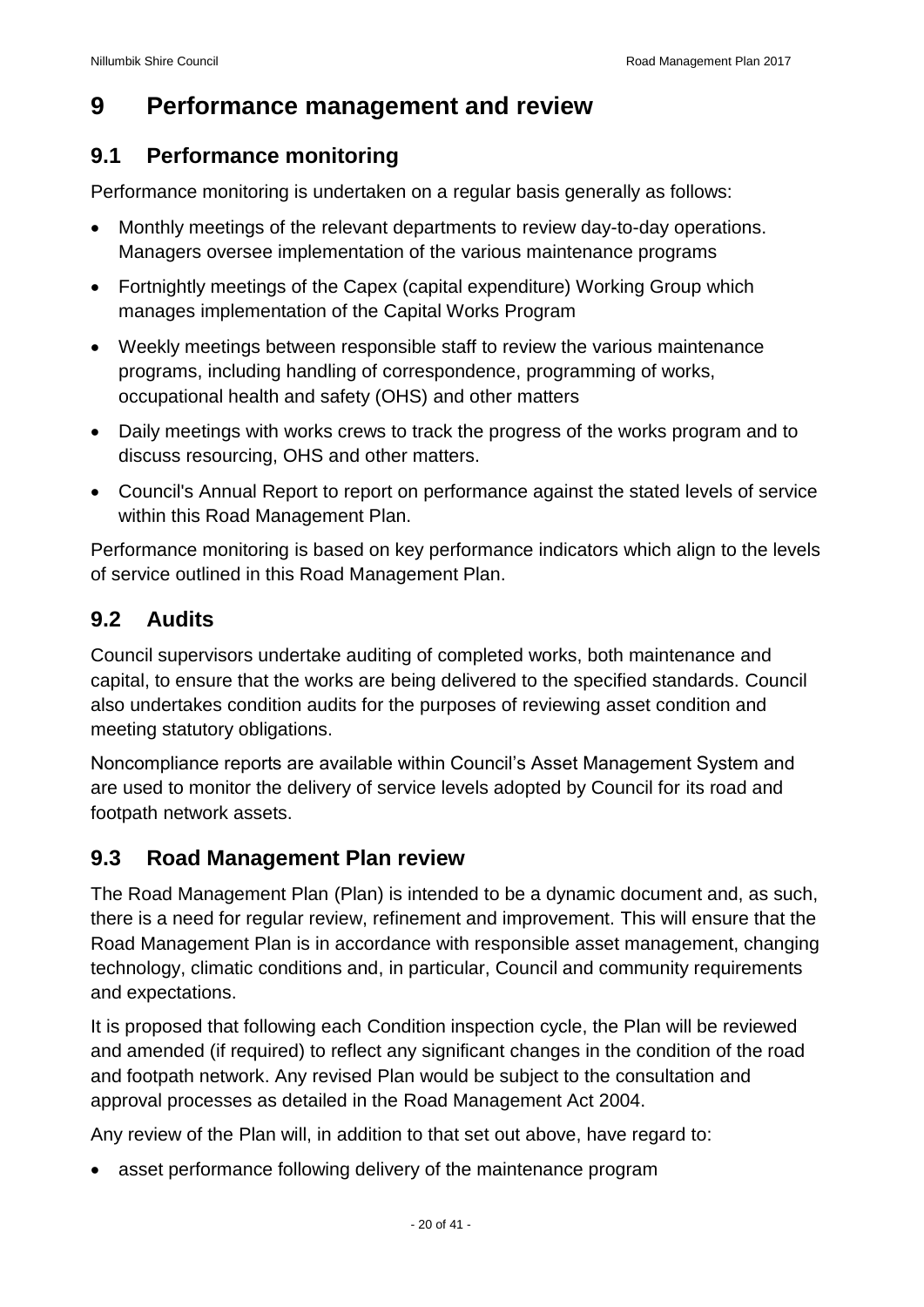## <span id="page-19-0"></span>**9 Performance management and review**

#### <span id="page-19-1"></span>**9.1 Performance monitoring**

Performance monitoring is undertaken on a regular basis generally as follows:

- Monthly meetings of the relevant departments to review day-to-day operations. Managers oversee implementation of the various maintenance programs
- Fortnightly meetings of the Capex (capital expenditure) Working Group which manages implementation of the Capital Works Program
- Weekly meetings between responsible staff to review the various maintenance programs, including handling of correspondence, programming of works, occupational health and safety (OHS) and other matters
- Daily meetings with works crews to track the progress of the works program and to discuss resourcing, OHS and other matters.
- Council's Annual Report to report on performance against the stated levels of service within this Road Management Plan.

Performance monitoring is based on key performance indicators which align to the levels of service outlined in this Road Management Plan.

#### <span id="page-19-2"></span>**9.2 Audits**

Council supervisors undertake auditing of completed works, both maintenance and capital, to ensure that the works are being delivered to the specified standards. Council also undertakes condition audits for the purposes of reviewing asset condition and meeting statutory obligations.

Noncompliance reports are available within Council's Asset Management System and are used to monitor the delivery of service levels adopted by Council for its road and footpath network assets.

#### <span id="page-19-3"></span>**9.3 Road Management Plan review**

The Road Management Plan (Plan) is intended to be a dynamic document and, as such, there is a need for regular review, refinement and improvement. This will ensure that the Road Management Plan is in accordance with responsible asset management, changing technology, climatic conditions and, in particular, Council and community requirements and expectations.

It is proposed that following each Condition inspection cycle, the Plan will be reviewed and amended (if required) to reflect any significant changes in the condition of the road and footpath network. Any revised Plan would be subject to the consultation and approval processes as detailed in the Road Management Act 2004.

Any review of the Plan will, in addition to that set out above, have regard to:

asset performance following delivery of the maintenance program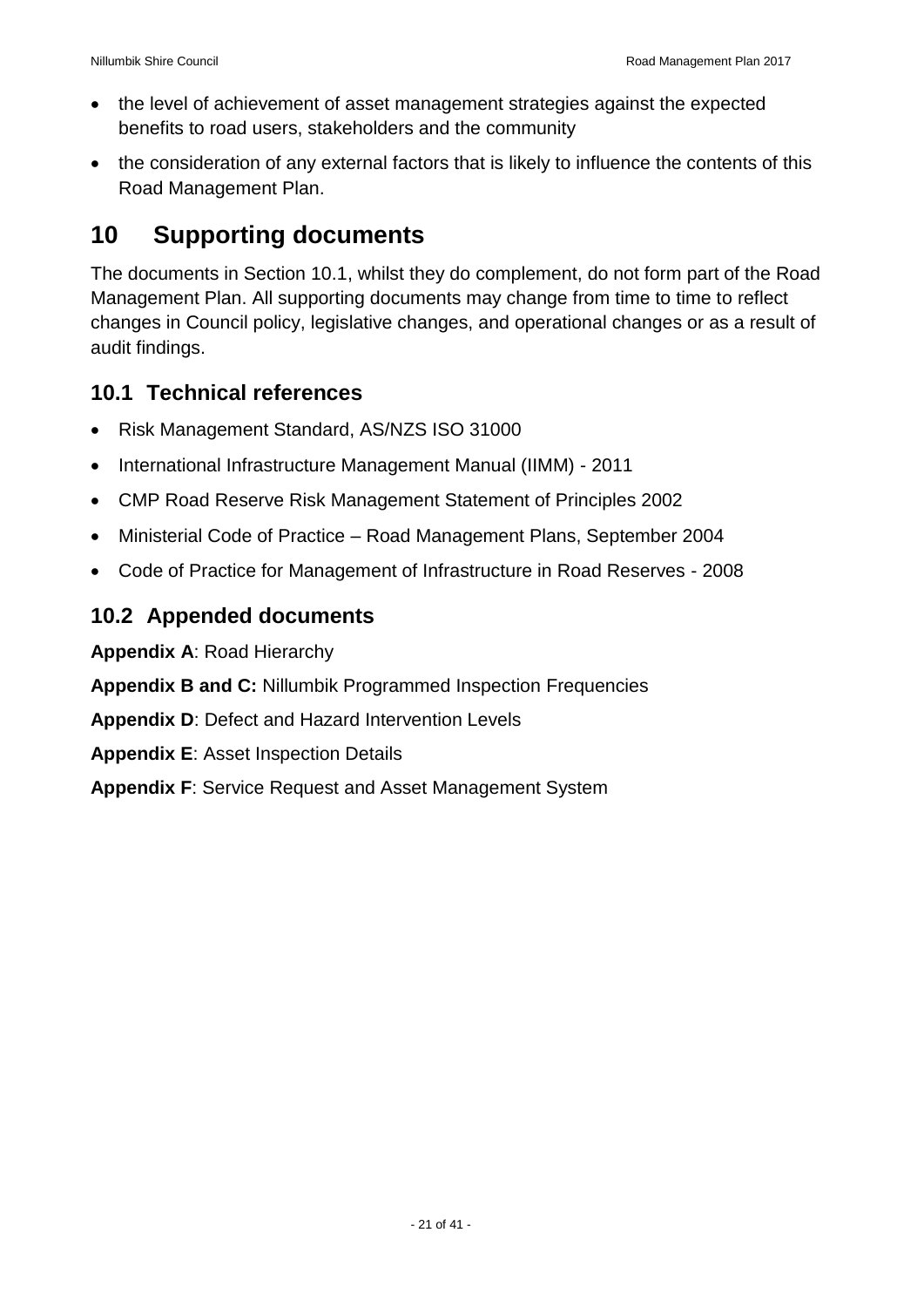- the level of achievement of asset management strategies against the expected benefits to road users, stakeholders and the community
- the consideration of any external factors that is likely to influence the contents of this Road Management Plan.

## <span id="page-20-0"></span>**10 Supporting documents**

The documents in Section 10.1, whilst they do complement, do not form part of the Road Management Plan. All supporting documents may change from time to time to reflect changes in Council policy, legislative changes, and operational changes or as a result of audit findings.

#### <span id="page-20-1"></span>**10.1 Technical references**

- Risk Management Standard, AS/NZS ISO 31000
- International Infrastructure Management Manual (IIMM) 2011
- CMP Road Reserve Risk Management Statement of Principles 2002
- Ministerial Code of Practice Road Management Plans, September 2004
- Code of Practice for Management of Infrastructure in Road Reserves 2008

#### <span id="page-20-2"></span>**10.2 Appended documents**

**Appendix A**: Road Hierarchy

**Appendix B and C:** Nillumbik Programmed Inspection Frequencies

**Appendix D**: Defect and Hazard Intervention Levels

**Appendix E**: Asset Inspection Details

**Appendix F**: Service Request and Asset Management System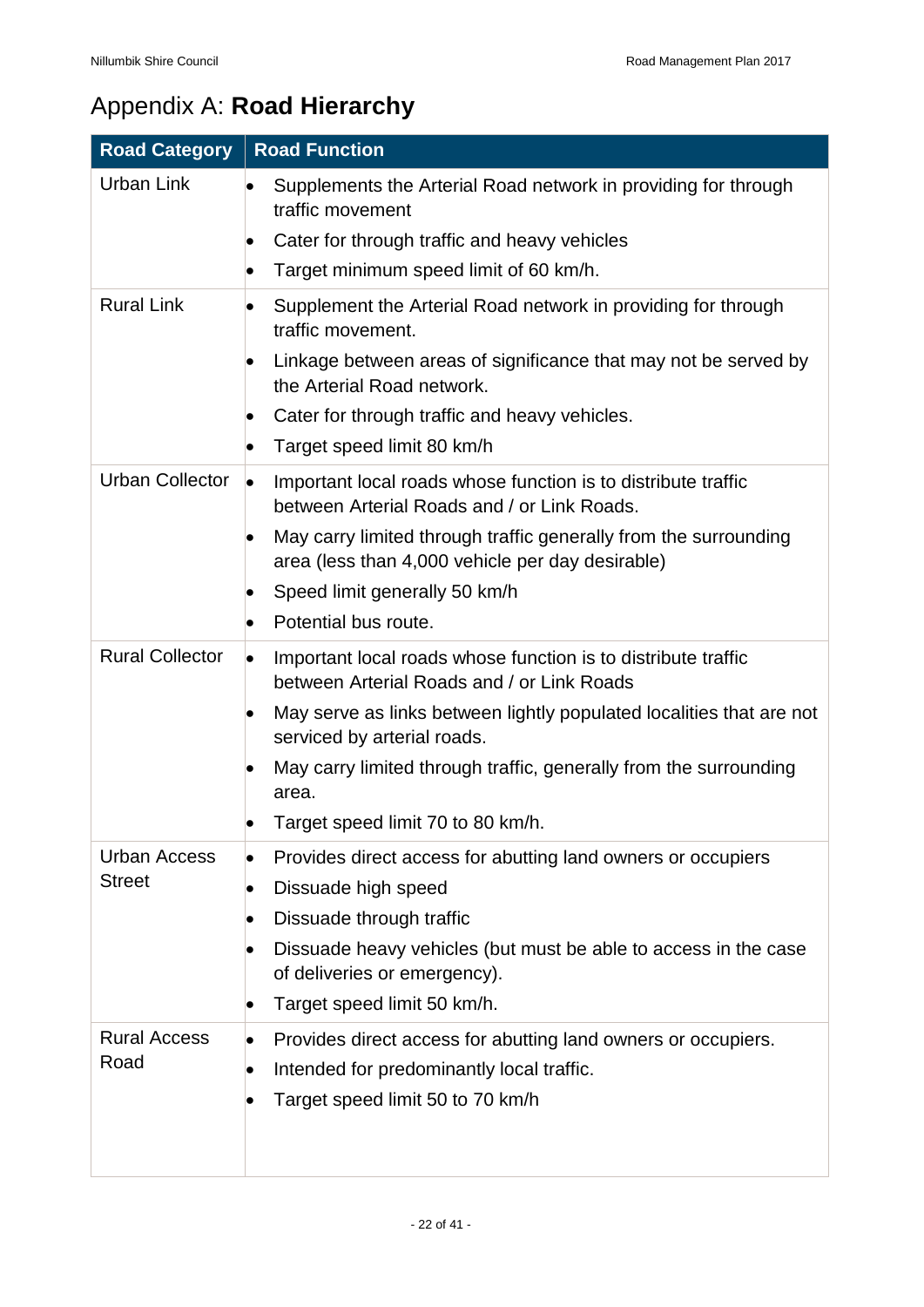# <span id="page-21-0"></span>Appendix A: **Road Hierarchy**

| <b>Road Category</b>   | <b>Road Function</b>                                                                                                      |
|------------------------|---------------------------------------------------------------------------------------------------------------------------|
| <b>Urban Link</b>      | Supplements the Arterial Road network in providing for through<br>traffic movement                                        |
|                        | Cater for through traffic and heavy vehicles<br>$\bullet$                                                                 |
|                        | Target minimum speed limit of 60 km/h.<br>$\bullet$                                                                       |
| <b>Rural Link</b>      | Supplement the Arterial Road network in providing for through<br>traffic movement.                                        |
|                        | Linkage between areas of significance that may not be served by<br>the Arterial Road network.                             |
|                        | Cater for through traffic and heavy vehicles.                                                                             |
|                        | Target speed limit 80 km/h                                                                                                |
| <b>Urban Collector</b> | Important local roads whose function is to distribute traffic<br>$\bullet$<br>between Arterial Roads and / or Link Roads. |
|                        | May carry limited through traffic generally from the surrounding<br>area (less than 4,000 vehicle per day desirable)      |
|                        | Speed limit generally 50 km/h                                                                                             |
|                        | Potential bus route.                                                                                                      |
| <b>Rural Collector</b> | Important local roads whose function is to distribute traffic<br>between Arterial Roads and / or Link Roads               |
|                        | May serve as links between lightly populated localities that are not<br>serviced by arterial roads.                       |
|                        | May carry limited through traffic, generally from the surrounding<br>area.                                                |
|                        | Target speed limit 70 to 80 km/h.                                                                                         |
| Urban Access           | Provides direct access for abutting land owners or occupiers                                                              |
| <b>Street</b>          | Dissuade high speed                                                                                                       |
|                        | Dissuade through traffic                                                                                                  |
|                        | Dissuade heavy vehicles (but must be able to access in the case<br>of deliveries or emergency).                           |
|                        | Target speed limit 50 km/h.                                                                                               |
| <b>Rural Access</b>    | Provides direct access for abutting land owners or occupiers.                                                             |
| Road                   | Intended for predominantly local traffic.                                                                                 |
|                        | Target speed limit 50 to 70 km/h                                                                                          |
|                        |                                                                                                                           |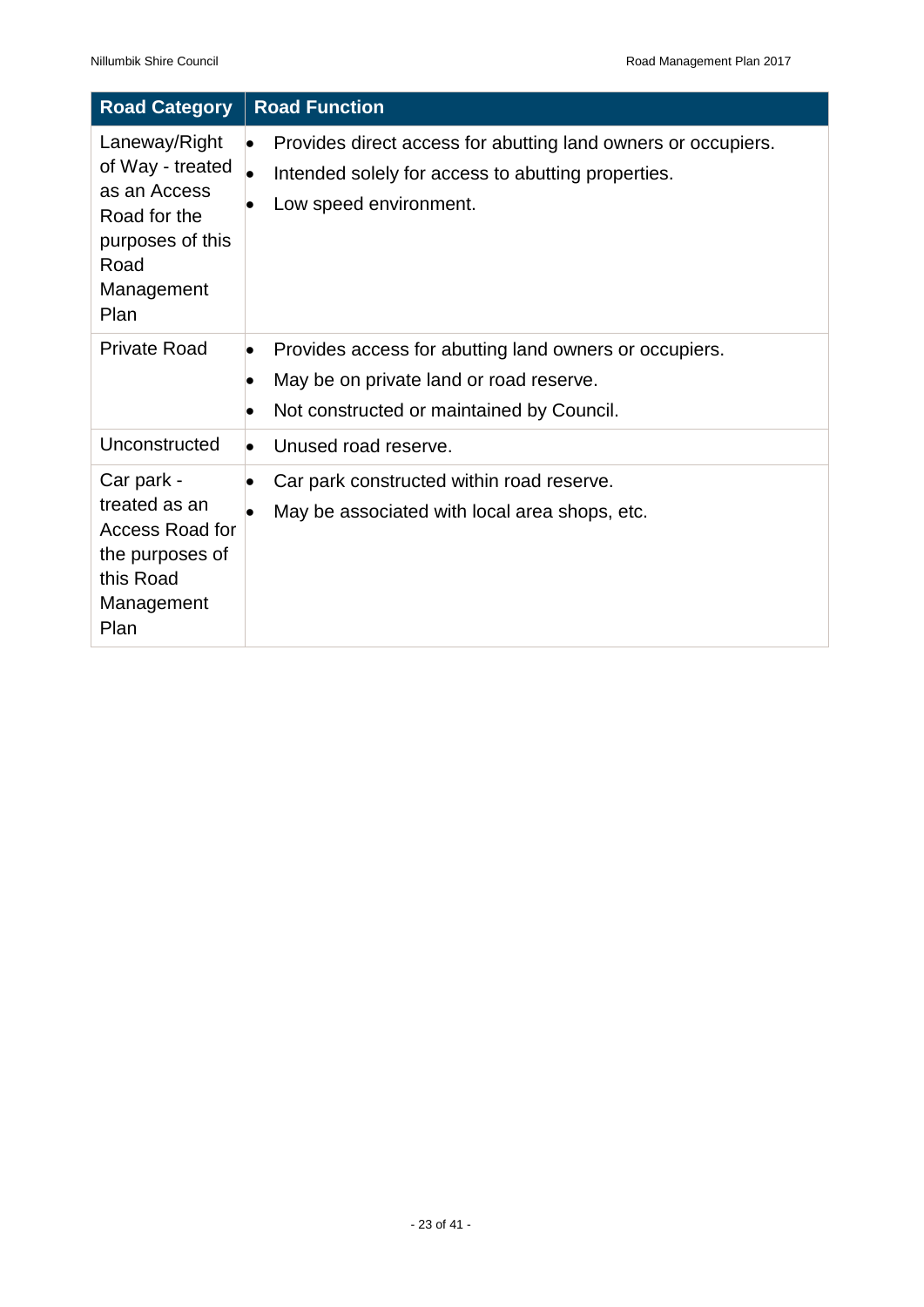| <b>Road Category</b>                                                                                                | <b>Road Function</b>                                                                                                                                        |
|---------------------------------------------------------------------------------------------------------------------|-------------------------------------------------------------------------------------------------------------------------------------------------------------|
| Laneway/Right<br>of Way - treated<br>as an Access<br>Road for the<br>purposes of this<br>Road<br>Management<br>Plan | Provides direct access for abutting land owners or occupiers.<br>Intended solely for access to abutting properties.<br>Low speed environment.               |
| <b>Private Road</b>                                                                                                 | Provides access for abutting land owners or occupiers.<br>$\bullet$<br>May be on private land or road reserve.<br>Not constructed or maintained by Council. |
| Unconstructed                                                                                                       | Unused road reserve.                                                                                                                                        |
| Car park -<br>treated as an<br>Access Road for<br>the purposes of<br>this Road<br>Management<br>Plan                | Car park constructed within road reserve.<br>May be associated with local area shops, etc.                                                                  |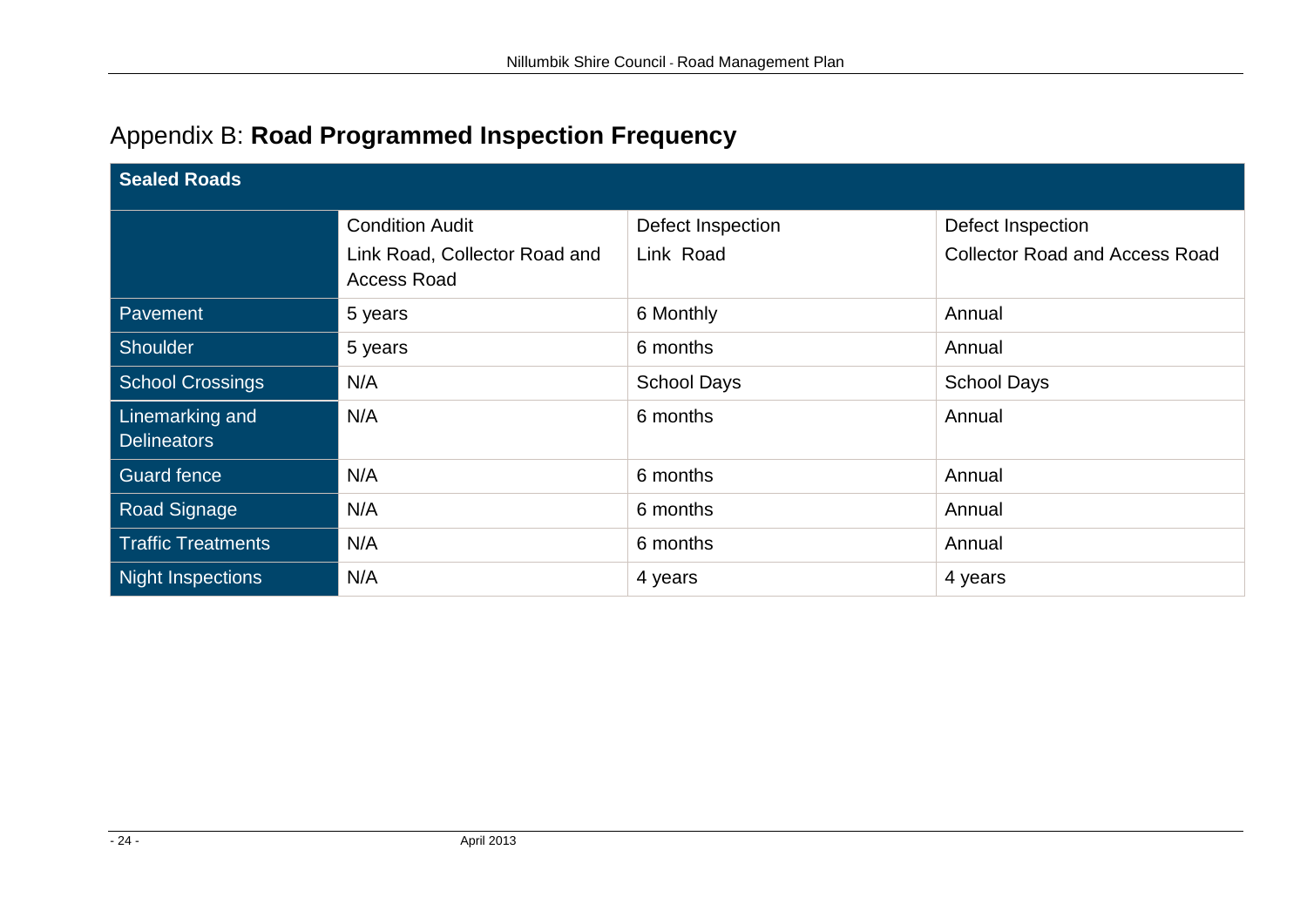| Appendix B: Road Programmed Inspection Frequency |  |  |  |
|--------------------------------------------------|--|--|--|
|--------------------------------------------------|--|--|--|

<span id="page-23-0"></span>

| <b>Sealed Roads</b>                   |                                                     |                    |                                       |  |
|---------------------------------------|-----------------------------------------------------|--------------------|---------------------------------------|--|
|                                       | <b>Condition Audit</b>                              | Defect Inspection  | Defect Inspection                     |  |
|                                       | Link Road, Collector Road and<br><b>Access Road</b> | Link Road          | <b>Collector Road and Access Road</b> |  |
| Pavement                              | 5 years                                             | 6 Monthly          | Annual                                |  |
| Shoulder                              | 5 years                                             | 6 months           | Annual                                |  |
| <b>School Crossings</b>               | N/A                                                 | <b>School Days</b> | <b>School Days</b>                    |  |
| Linemarking and<br><b>Delineators</b> | N/A                                                 | 6 months           | Annual                                |  |
| <b>Guard fence</b>                    | N/A                                                 | 6 months           | Annual                                |  |
| <b>Road Signage</b>                   | N/A                                                 | 6 months           | Annual                                |  |
| <b>Traffic Treatments</b>             | N/A                                                 | 6 months           | Annual                                |  |
| Night Inspections                     | N/A                                                 | 4 years            | 4 years                               |  |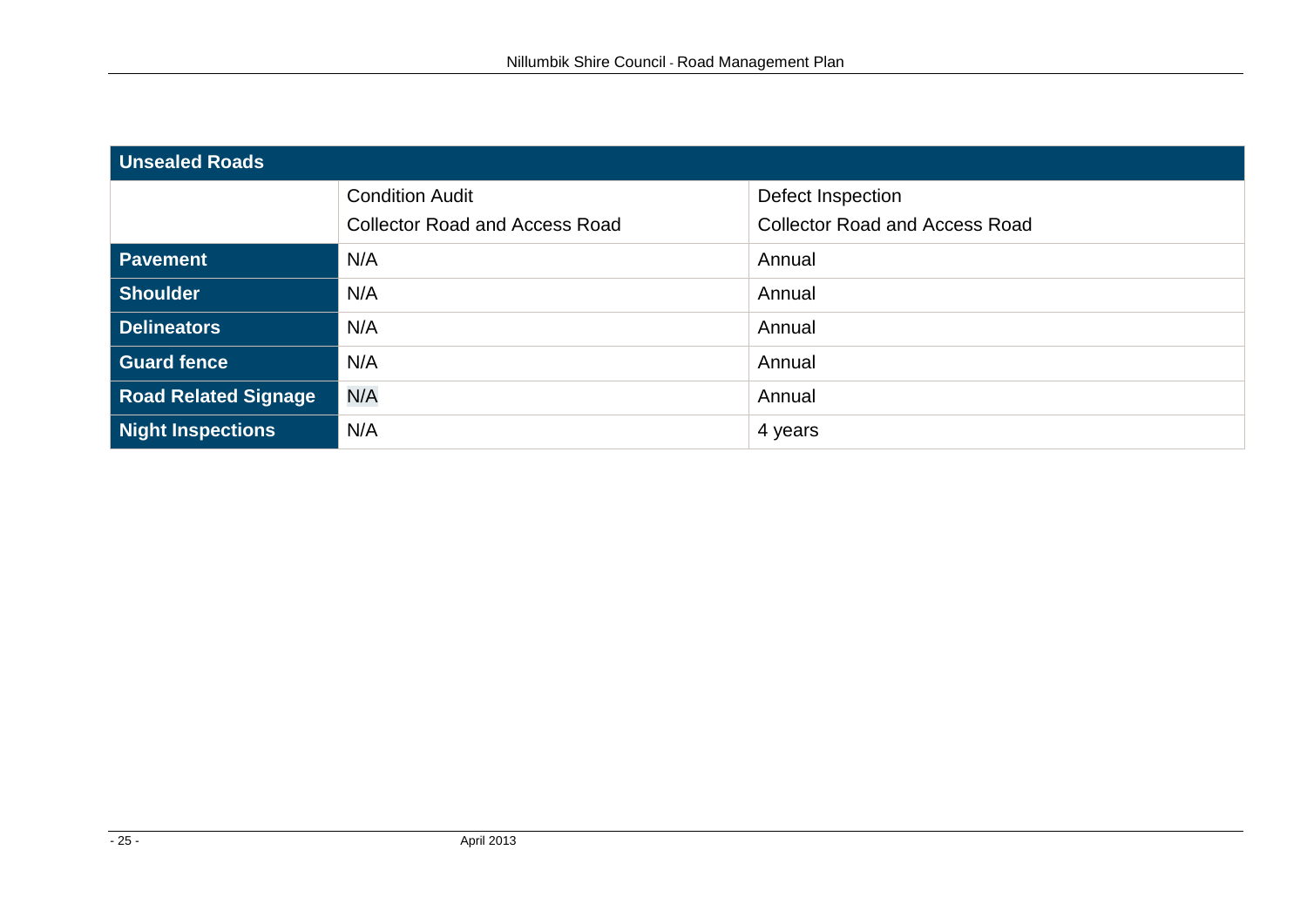| Unsealed Roads              |                                       |                                       |  |
|-----------------------------|---------------------------------------|---------------------------------------|--|
|                             | <b>Condition Audit</b>                | Defect Inspection                     |  |
|                             | <b>Collector Road and Access Road</b> | <b>Collector Road and Access Road</b> |  |
| <b>Pavement</b>             | N/A                                   | Annual                                |  |
| Shoulder                    | N/A                                   | Annual                                |  |
| Delineators                 | N/A                                   | Annual                                |  |
| <b>Guard fence</b>          | N/A                                   | Annual                                |  |
| <b>Road Related Signage</b> | N/A                                   | Annual                                |  |
| <b>Night Inspections</b>    | N/A                                   | 4 years                               |  |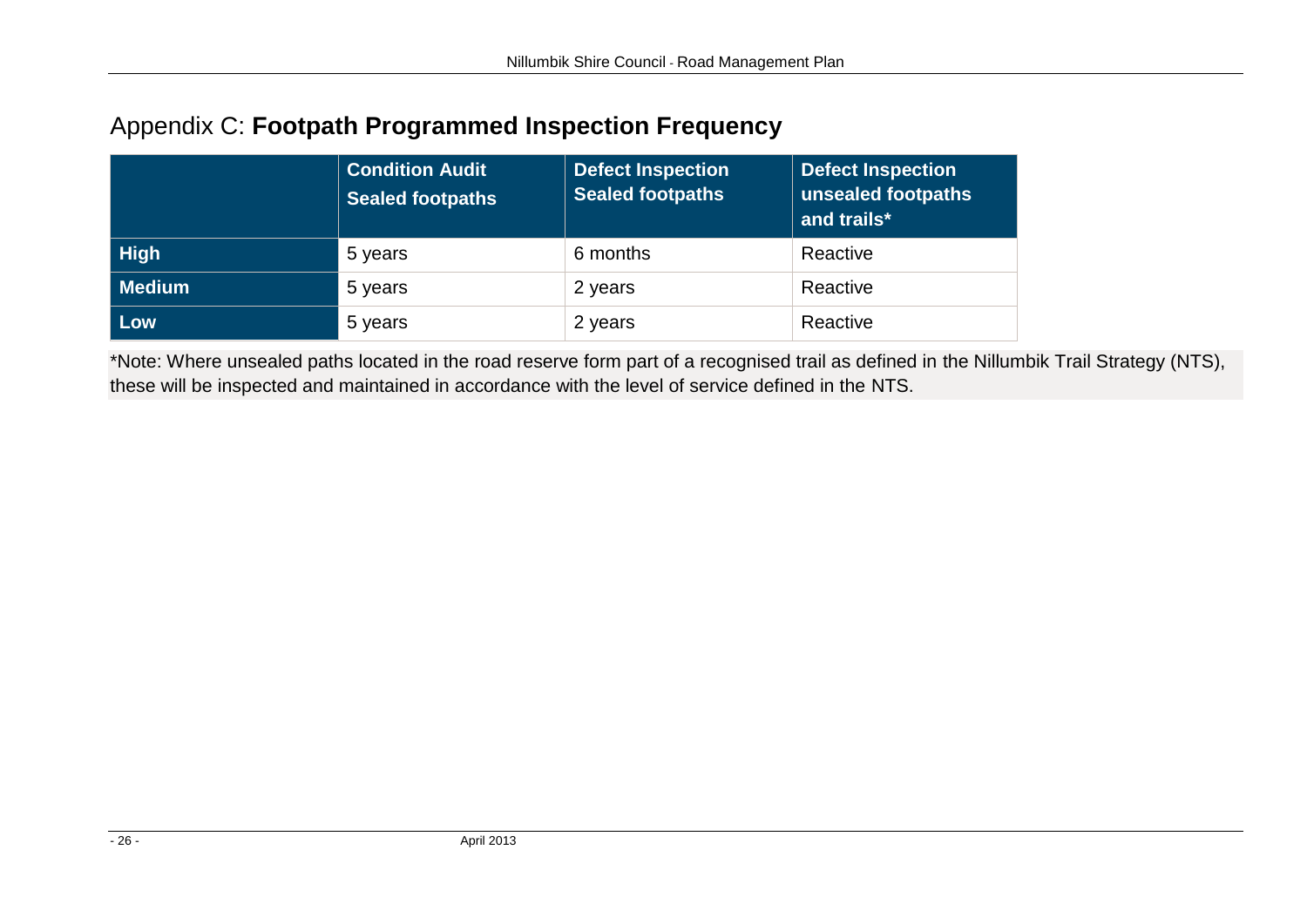## Appendix C: **Footpath Programmed Inspection Frequency**

|        | <b>Condition Audit</b><br><b>Sealed footpaths</b> | <b>Defect Inspection</b><br><b>Sealed footpaths</b> | <b>Defect Inspection</b><br>unsealed footpaths<br>and trails* |
|--------|---------------------------------------------------|-----------------------------------------------------|---------------------------------------------------------------|
| High   | 5 years                                           | 6 months                                            | Reactive                                                      |
| Medium | 5 years                                           | 2 years                                             | Reactive                                                      |
| Low    | 5 years                                           | 2 years                                             | Reactive                                                      |

<span id="page-25-0"></span>\*Note: Where unsealed paths located in the road reserve form part of a recognised trail as defined in the Nillumbik Trail Strategy (NTS), these will be inspected and maintained in accordance with the level of service defined in the NTS.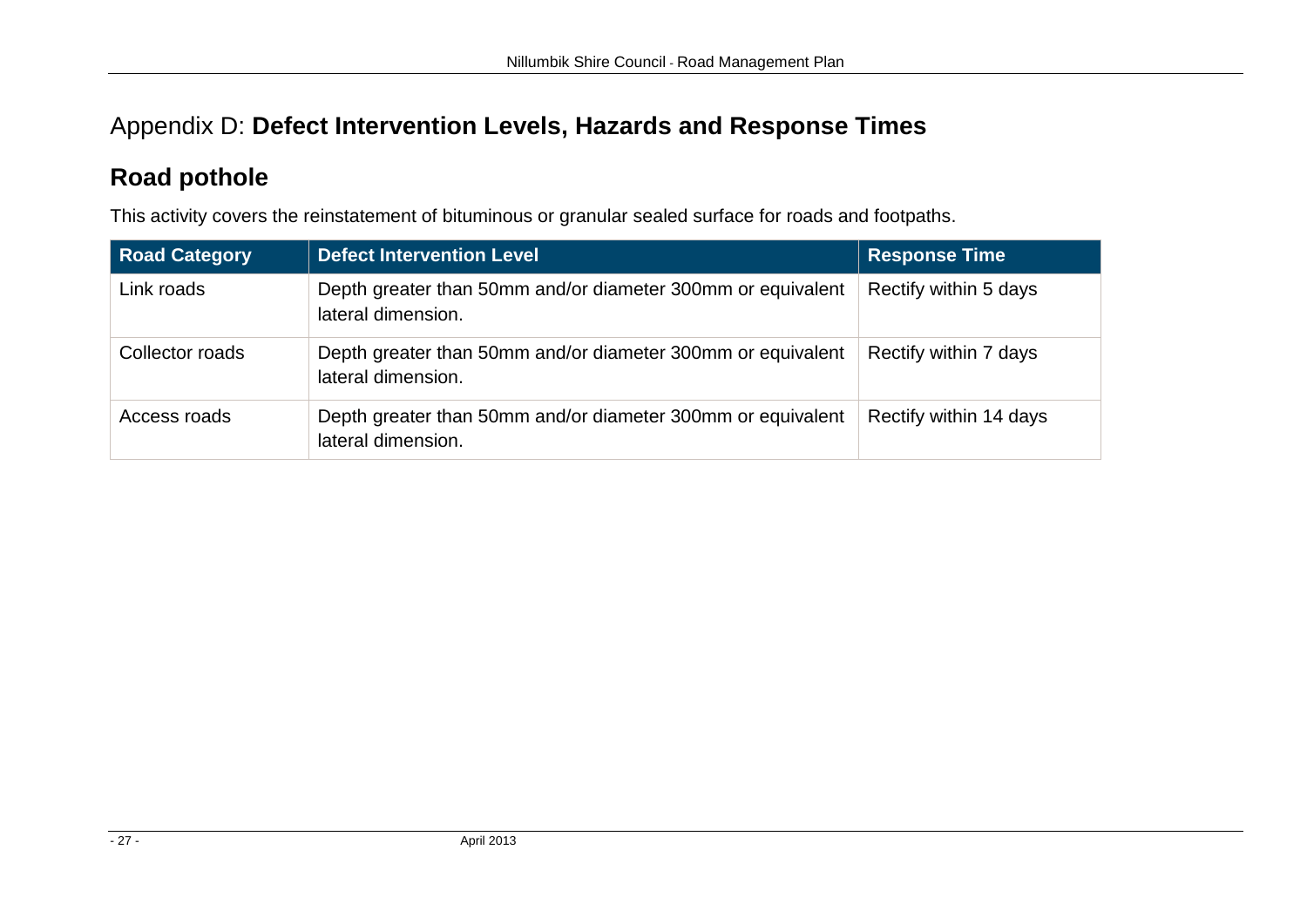## Appendix D: **Defect Intervention Levels, Hazards and Response Times**

## **Road pothole**

This activity covers the reinstatement of bituminous or granular sealed surface for roads and footpaths.

<span id="page-26-0"></span>

| <b>Road Category</b> | <b>Defect Intervention Level</b>                                                  | <b>Response Time</b>   |
|----------------------|-----------------------------------------------------------------------------------|------------------------|
| Link roads           | Depth greater than 50mm and/or diameter 300mm or equivalent<br>lateral dimension. | Rectify within 5 days  |
| Collector roads      | Depth greater than 50mm and/or diameter 300mm or equivalent<br>lateral dimension. | Rectify within 7 days  |
| Access roads         | Depth greater than 50mm and/or diameter 300mm or equivalent<br>lateral dimension. | Rectify within 14 days |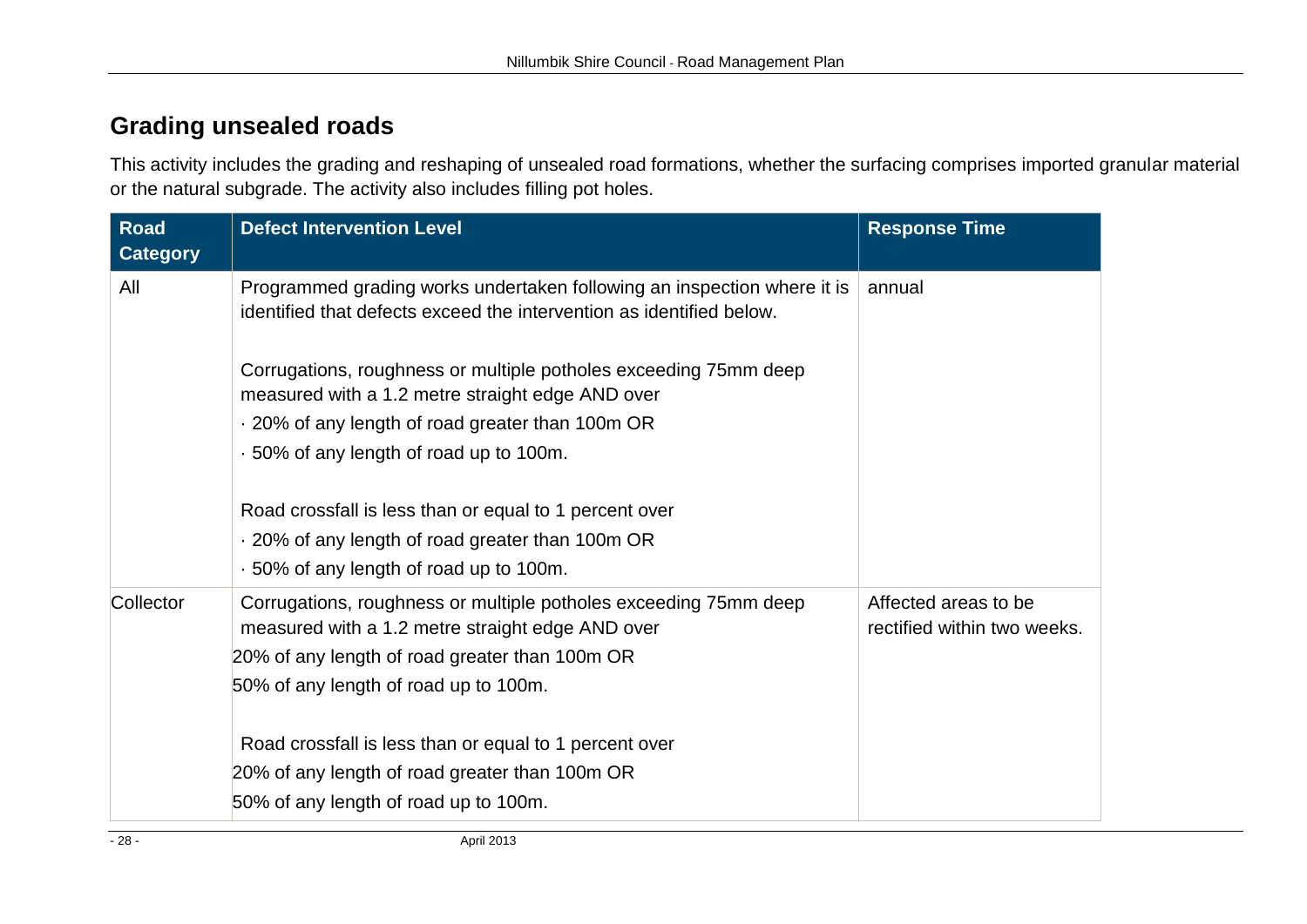## **Grading unsealed roads**

This activity includes the grading and reshaping of unsealed road formations, whether the surfacing comprises imported granular material or the natural subgrade. The activity also includes filling pot holes.

| <b>Road</b><br><b>Category</b> | <b>Defect Intervention Level</b>                                                                                                                | <b>Response Time</b>                                |
|--------------------------------|-------------------------------------------------------------------------------------------------------------------------------------------------|-----------------------------------------------------|
| All                            | Programmed grading works undertaken following an inspection where it is<br>identified that defects exceed the intervention as identified below. | annual                                              |
|                                | Corrugations, roughness or multiple potholes exceeding 75mm deep<br>measured with a 1.2 metre straight edge AND over                            |                                                     |
|                                | . 20% of any length of road greater than 100m OR                                                                                                |                                                     |
|                                | .50% of any length of road up to 100m.                                                                                                          |                                                     |
|                                | Road crossfall is less than or equal to 1 percent over                                                                                          |                                                     |
|                                | . 20% of any length of road greater than 100m OR                                                                                                |                                                     |
|                                | .50% of any length of road up to 100m.                                                                                                          |                                                     |
| Collector                      | Corrugations, roughness or multiple potholes exceeding 75mm deep<br>measured with a 1.2 metre straight edge AND over                            | Affected areas to be<br>rectified within two weeks. |
|                                | 20% of any length of road greater than 100m OR                                                                                                  |                                                     |
|                                | 50% of any length of road up to 100m.                                                                                                           |                                                     |
|                                | Road crossfall is less than or equal to 1 percent over                                                                                          |                                                     |
|                                | 20% of any length of road greater than 100m OR                                                                                                  |                                                     |
|                                | 50% of any length of road up to 100m.                                                                                                           |                                                     |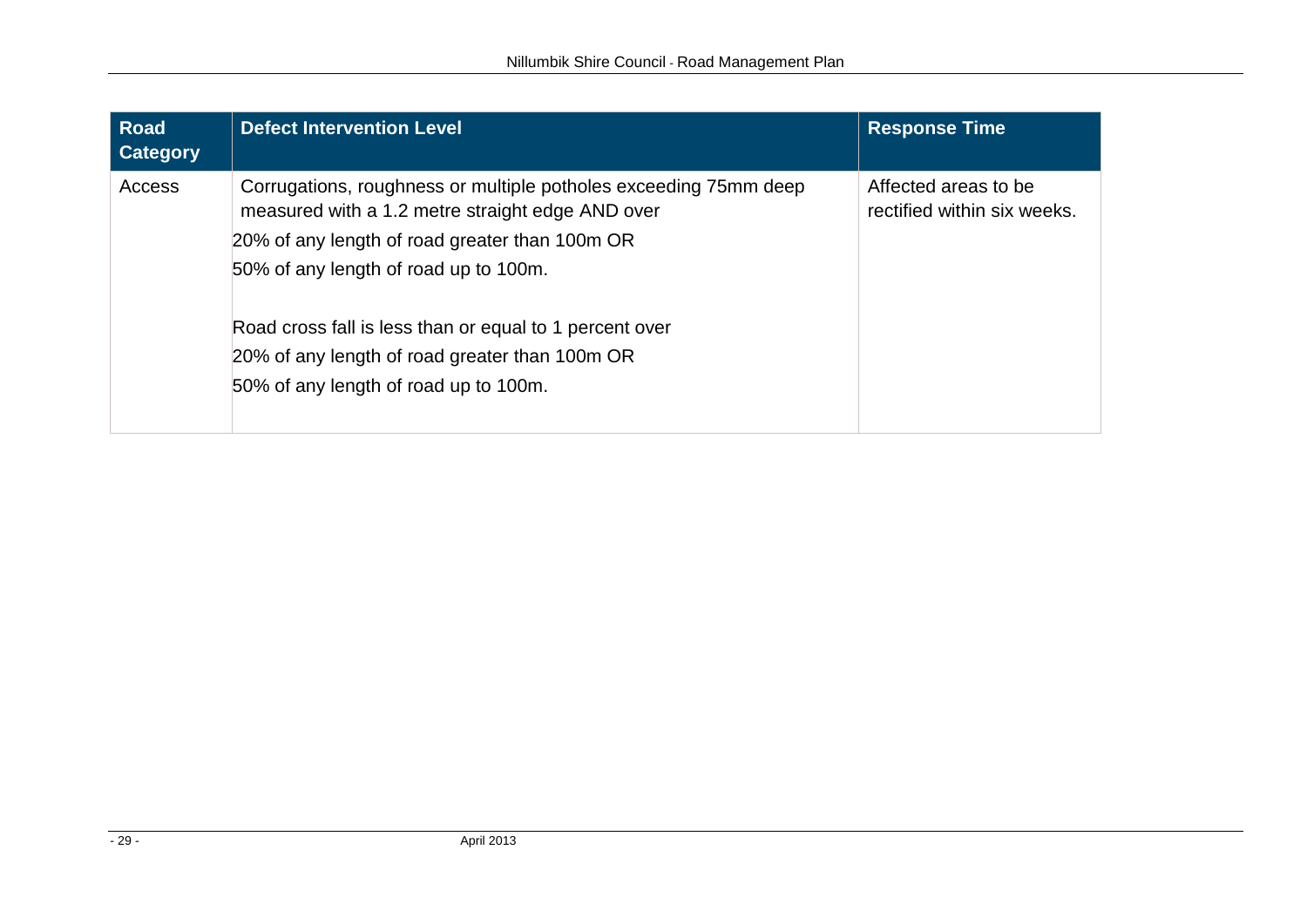| <b>Road</b><br><b>Category</b> | <b>Defect Intervention Level</b>                                                                                                                                                                                                                                                                                                                                      | <b>Response Time</b>                                |
|--------------------------------|-----------------------------------------------------------------------------------------------------------------------------------------------------------------------------------------------------------------------------------------------------------------------------------------------------------------------------------------------------------------------|-----------------------------------------------------|
| Access                         | Corrugations, roughness or multiple potholes exceeding 75mm deep<br>measured with a 1.2 metre straight edge AND over<br>20% of any length of road greater than 100m OR<br>50% of any length of road up to 100m.<br>Road cross fall is less than or equal to 1 percent over<br>20% of any length of road greater than 100m OR<br>50% of any length of road up to 100m. | Affected areas to be<br>rectified within six weeks. |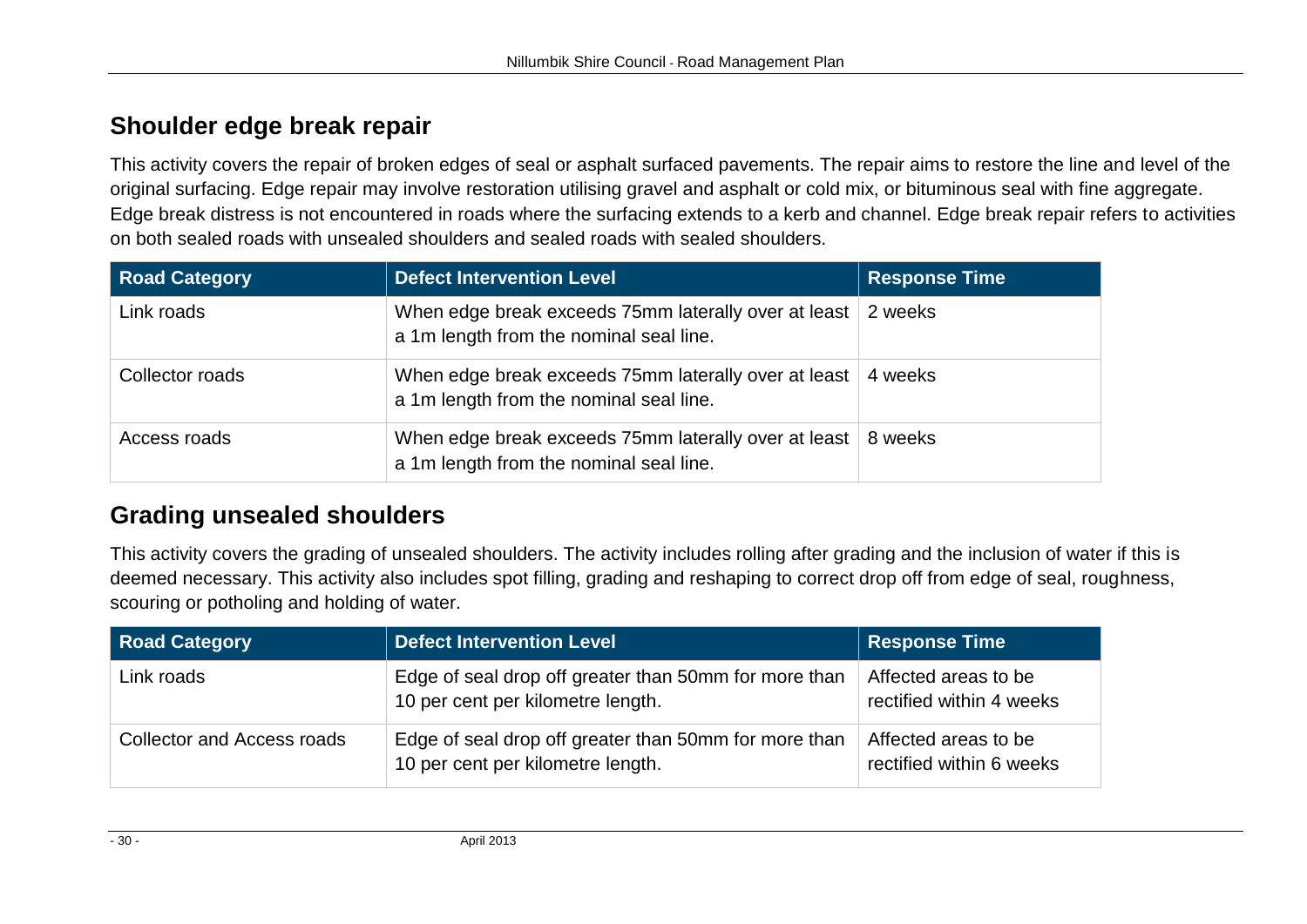## **Shoulder edge break repair**

This activity covers the repair of broken edges of seal or asphalt surfaced pavements. The repair aims to restore the line and level of the original surfacing. Edge repair may involve restoration utilising gravel and asphalt or cold mix, or bituminous seal with fine aggregate. Edge break distress is not encountered in roads where the surfacing extends to a kerb and channel. Edge break repair refers to activities on both sealed roads with unsealed shoulders and sealed roads with sealed shoulders.

| <b>Road Category</b> | <b>Defect Intervention Level</b>                                                                | <b>Response Time</b> |
|----------------------|-------------------------------------------------------------------------------------------------|----------------------|
| Link roads           | When edge break exceeds 75mm laterally over at least<br>a 1m length from the nominal seal line. | 2 weeks              |
| Collector roads      | When edge break exceeds 75mm laterally over at least<br>a 1m length from the nominal seal line. | 4 weeks              |
| Access roads         | When edge break exceeds 75mm laterally over at least<br>a 1m length from the nominal seal line. | 8 weeks              |

## **Grading unsealed shoulders**

This activity covers the grading of unsealed shoulders. The activity includes rolling after grading and the inclusion of water if this is deemed necessary. This activity also includes spot filling, grading and reshaping to correct drop off from edge of seal, roughness, scouring or potholing and holding of water.

| <b>Road Category</b>              | <b>Defect Intervention Level</b>                                                           | <b>Response Time</b>                             |
|-----------------------------------|--------------------------------------------------------------------------------------------|--------------------------------------------------|
| Link roads                        | Edge of seal drop off greater than 50mm for more than<br>10 per cent per kilometre length. | Affected areas to be<br>rectified within 4 weeks |
| <b>Collector and Access roads</b> | Edge of seal drop off greater than 50mm for more than<br>10 per cent per kilometre length. | Affected areas to be<br>rectified within 6 weeks |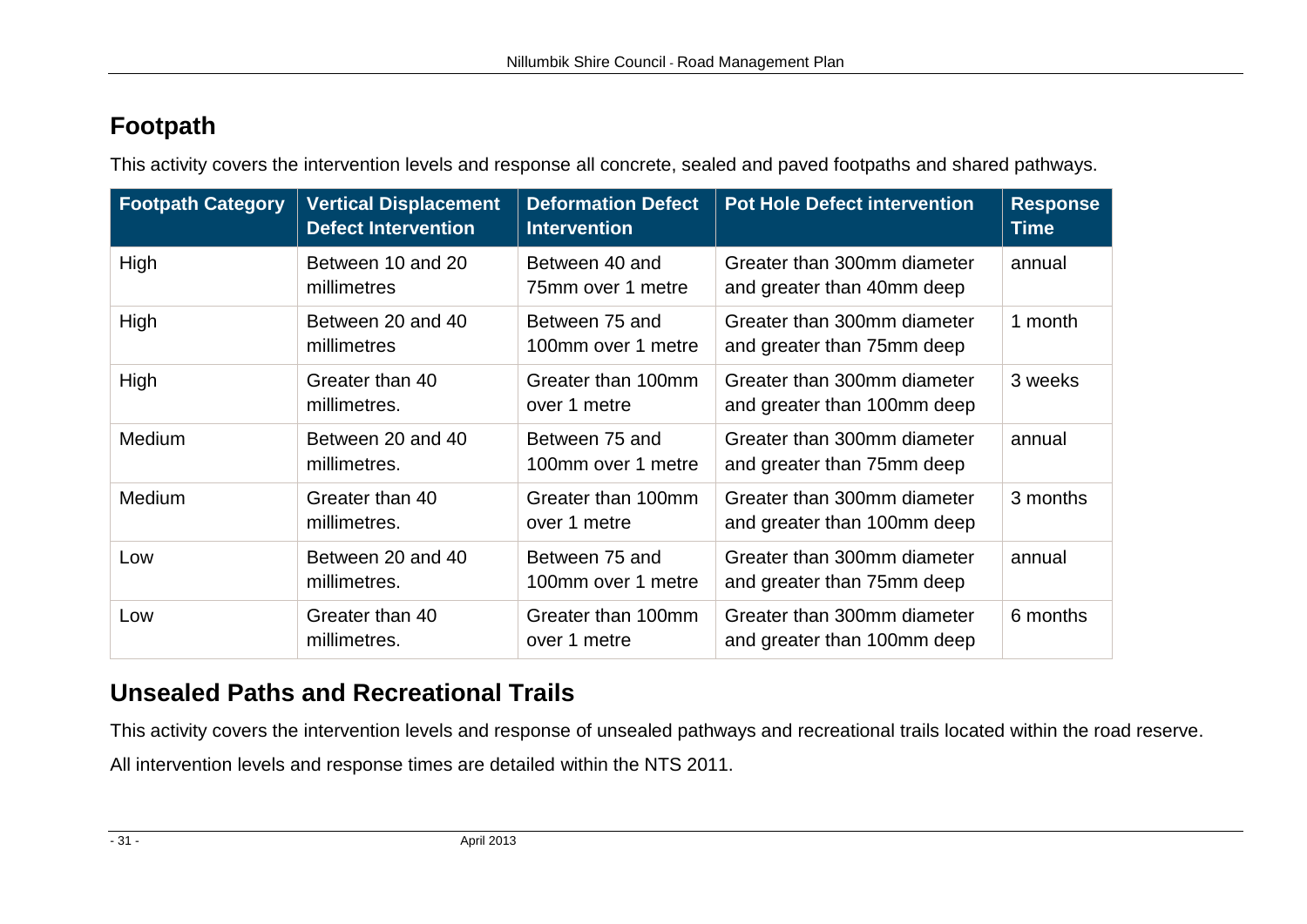## **Footpath**

This activity covers the intervention levels and response all concrete, sealed and paved footpaths and shared pathways.

| <b>Footpath Category</b> | <b>Vertical Displacement</b><br><b>Defect Intervention</b> | <b>Deformation Defect</b><br><b>Intervention</b> | <b>Pot Hole Defect intervention</b>                        | <b>Response</b><br><b>Time</b> |
|--------------------------|------------------------------------------------------------|--------------------------------------------------|------------------------------------------------------------|--------------------------------|
| High                     | Between 10 and 20<br>millimetres                           | Between 40 and<br>75mm over 1 metre              | Greater than 300mm diameter<br>and greater than 40mm deep  | annual                         |
| High                     | Between 20 and 40<br>millimetres                           | Between 75 and<br>100mm over 1 metre             | Greater than 300mm diameter<br>and greater than 75mm deep  | 1 month                        |
| High                     | Greater than 40<br>millimetres.                            | Greater than 100mm<br>over 1 metre               | Greater than 300mm diameter<br>and greater than 100mm deep | 3 weeks                        |
| Medium                   | Between 20 and 40<br>millimetres.                          | Between 75 and<br>100mm over 1 metre             | Greater than 300mm diameter<br>and greater than 75mm deep  | annual                         |
| Medium                   | Greater than 40<br>millimetres.                            | Greater than 100mm<br>over 1 metre               | Greater than 300mm diameter<br>and greater than 100mm deep | 3 months                       |
| Low                      | Between 20 and 40<br>millimetres.                          | Between 75 and<br>100mm over 1 metre             | Greater than 300mm diameter<br>and greater than 75mm deep  | annual                         |
| Low                      | Greater than 40<br>millimetres.                            | Greater than 100mm<br>over 1 metre               | Greater than 300mm diameter<br>and greater than 100mm deep | 6 months                       |

## **Unsealed Paths and Recreational Trails**

This activity covers the intervention levels and response of unsealed pathways and recreational trails located within the road reserve. All intervention levels and response times are detailed within the NTS 2011.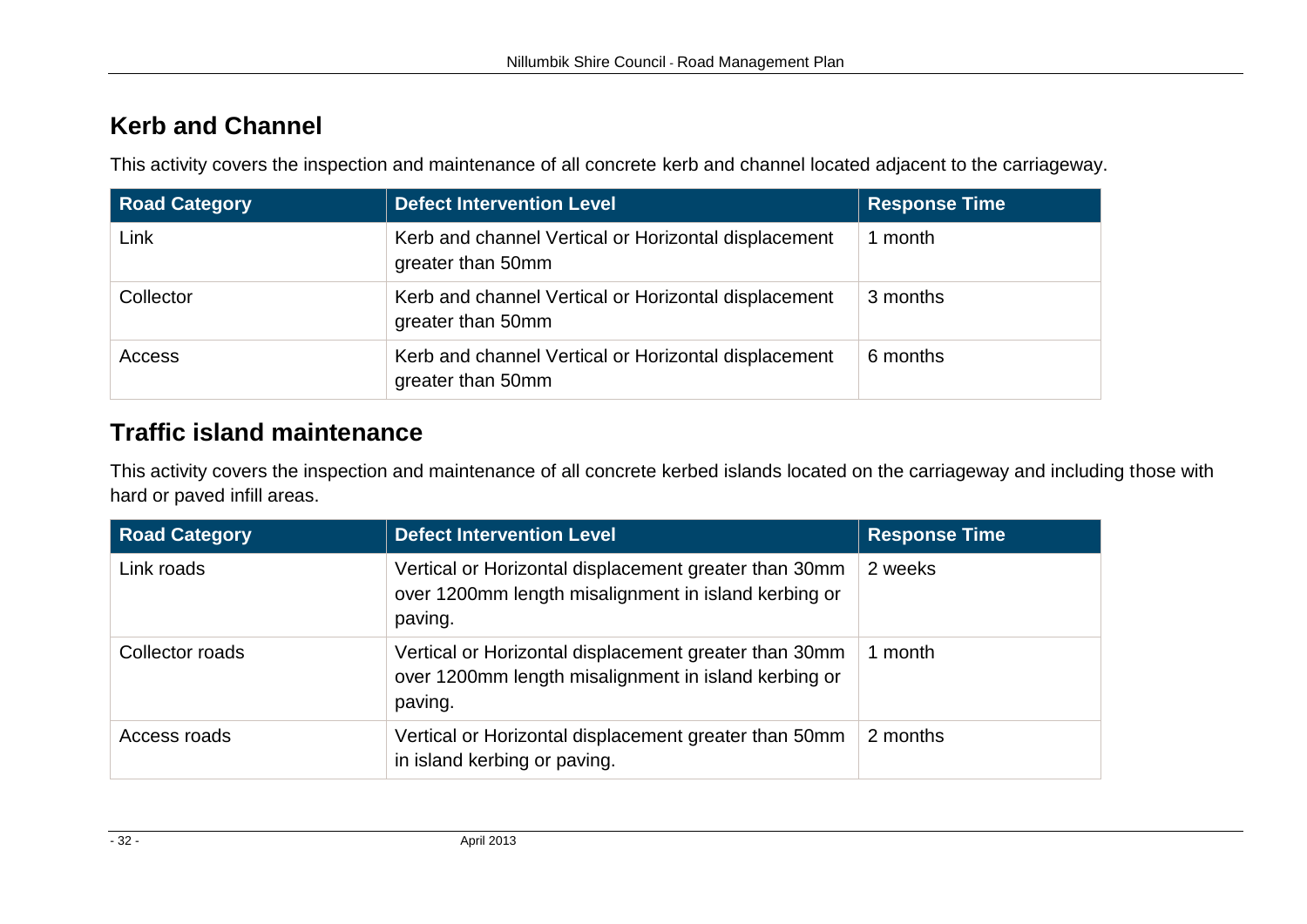## **Kerb and Channel**

This activity covers the inspection and maintenance of all concrete kerb and channel located adjacent to the carriageway.

| <b>Road Category</b> | <b>Defect Intervention Level</b>                                          | <b>Response Time</b> |
|----------------------|---------------------------------------------------------------------------|----------------------|
| Link                 | Kerb and channel Vertical or Horizontal displacement<br>greater than 50mm | month                |
| Collector            | Kerb and channel Vertical or Horizontal displacement<br>greater than 50mm | 3 months             |
| Access               | Kerb and channel Vertical or Horizontal displacement<br>greater than 50mm | 6 months             |

## **Traffic island maintenance**

This activity covers the inspection and maintenance of all concrete kerbed islands located on the carriageway and including those with hard or paved infill areas.

| <b>Road Category</b> | <b>Defect Intervention Level</b>                                                                                         | <b>Response Time</b> |
|----------------------|--------------------------------------------------------------------------------------------------------------------------|----------------------|
| Link roads           | Vertical or Horizontal displacement greater than 30mm<br>over 1200mm length misalignment in island kerbing or<br>paving. | 2 weeks              |
| Collector roads      | Vertical or Horizontal displacement greater than 30mm<br>over 1200mm length misalignment in island kerbing or<br>paving. | month                |
| Access roads         | Vertical or Horizontal displacement greater than 50mm<br>in island kerbing or paving.                                    | 2 months             |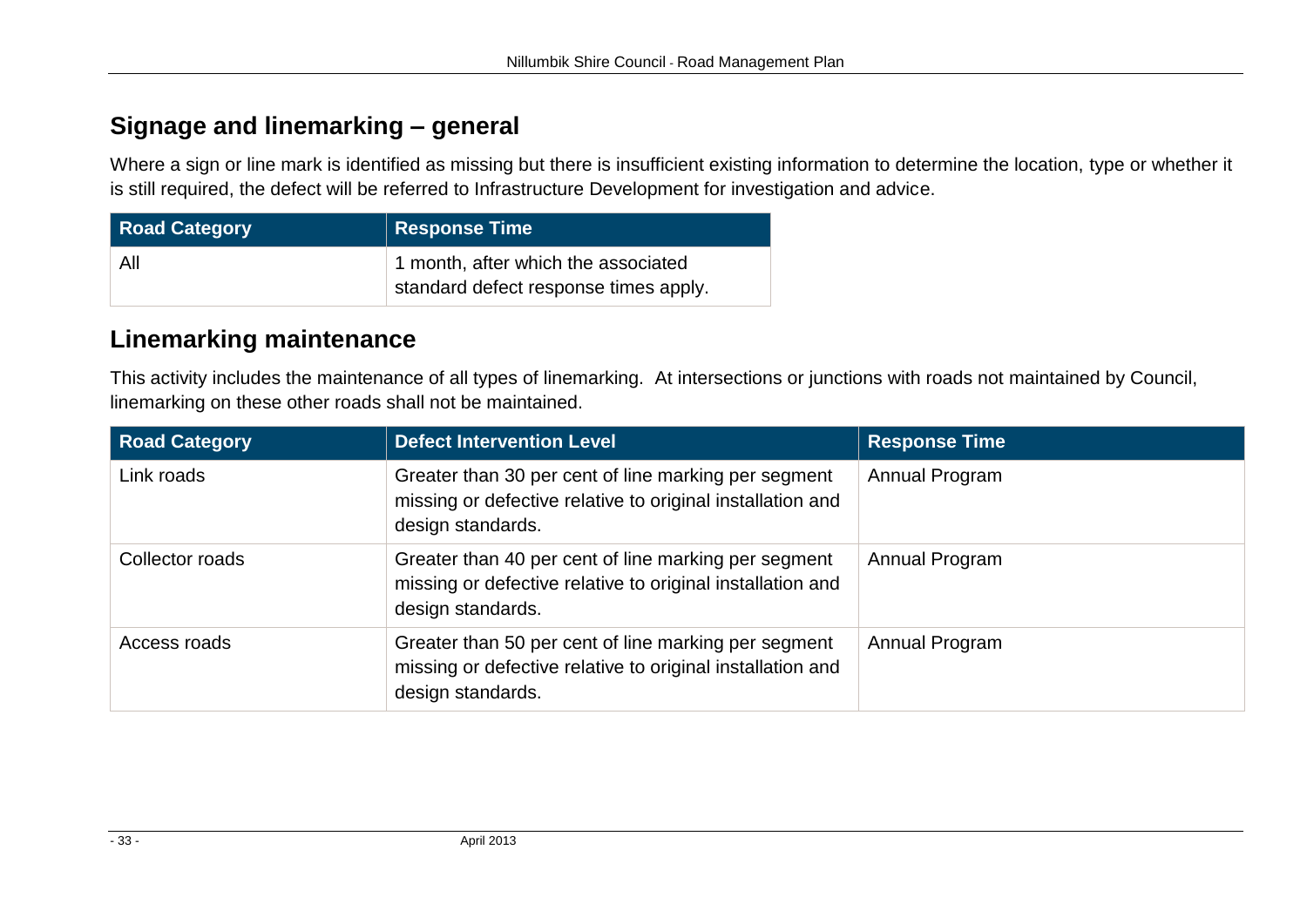## **Signage and linemarking – general**

Where a sign or line mark is identified as missing but there is insufficient existing information to determine the location, type or whether it is still required, the defect will be referred to Infrastructure Development for investigation and advice.

| <b>Road Category</b> | Response Time                                                                |
|----------------------|------------------------------------------------------------------------------|
| All                  | 1 month, after which the associated<br>standard defect response times apply. |

## **Linemarking maintenance**

This activity includes the maintenance of all types of linemarking. At intersections or junctions with roads not maintained by Council, linemarking on these other roads shall not be maintained.

| <b>Road Category</b> | <b>Defect Intervention Level</b>                                                                                                        | <b>Response Time</b> |
|----------------------|-----------------------------------------------------------------------------------------------------------------------------------------|----------------------|
| Link roads           | Greater than 30 per cent of line marking per segment<br>missing or defective relative to original installation and<br>design standards. | Annual Program       |
| Collector roads      | Greater than 40 per cent of line marking per segment<br>missing or defective relative to original installation and<br>design standards. | Annual Program       |
| Access roads         | Greater than 50 per cent of line marking per segment<br>missing or defective relative to original installation and<br>design standards. | Annual Program       |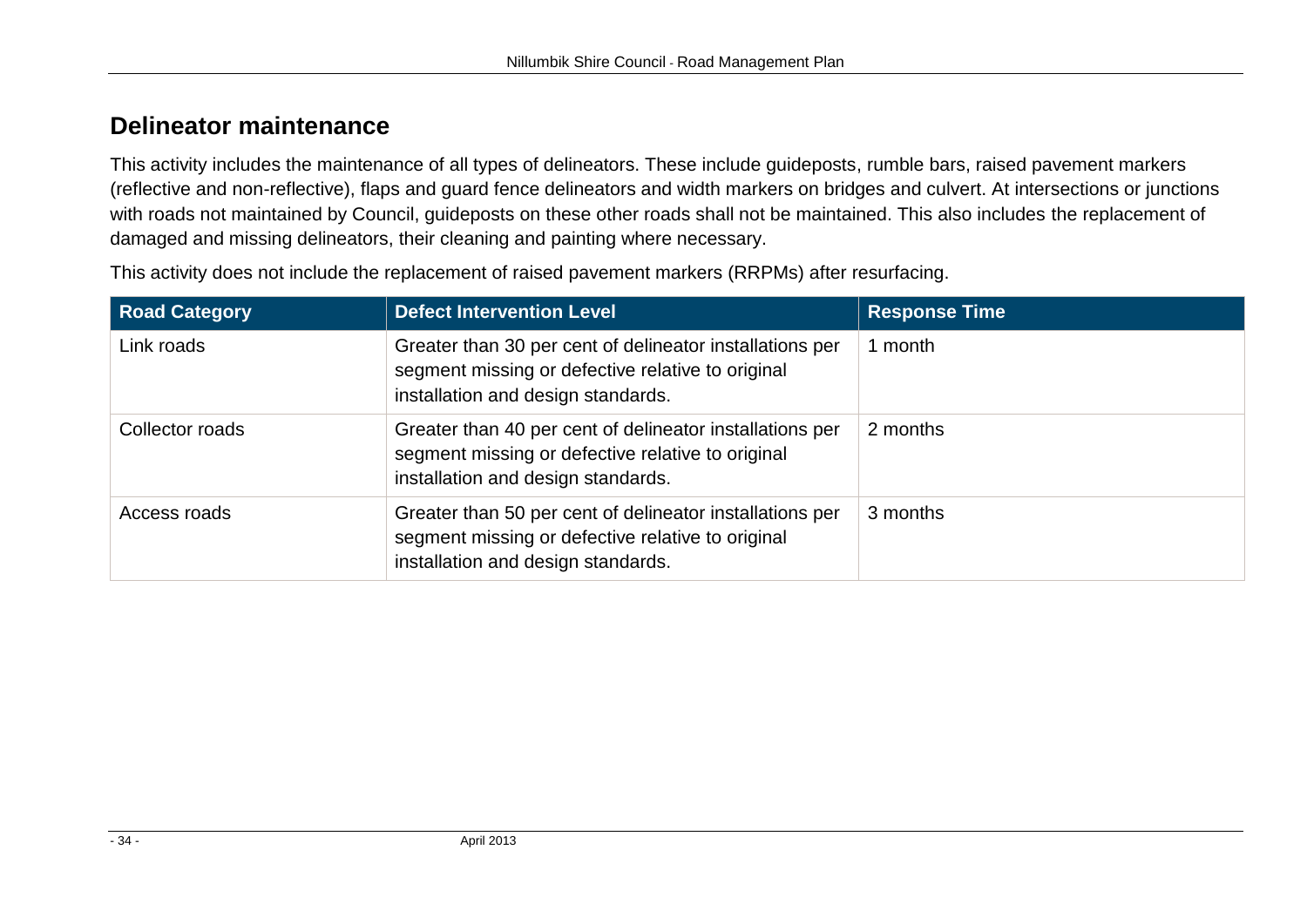## **Delineator maintenance**

This activity includes the maintenance of all types of delineators. These include guideposts, rumble bars, raised pavement markers (reflective and non-reflective), flaps and guard fence delineators and width markers on bridges and culvert. At intersections or junctions with roads not maintained by Council, guideposts on these other roads shall not be maintained. This also includes the replacement of damaged and missing delineators, their cleaning and painting where necessary.

This activity does not include the replacement of raised pavement markers (RRPMs) after resurfacing.

| <b>Road Category</b> | <b>Defect Intervention Level</b>                                                                                                                    | <b>Response Time</b> |
|----------------------|-----------------------------------------------------------------------------------------------------------------------------------------------------|----------------------|
| Link roads           | Greater than 30 per cent of delineator installations per<br>segment missing or defective relative to original<br>installation and design standards. | 1 month              |
| Collector roads      | Greater than 40 per cent of delineator installations per<br>segment missing or defective relative to original<br>installation and design standards. | 2 months             |
| Access roads         | Greater than 50 per cent of delineator installations per<br>segment missing or defective relative to original<br>installation and design standards. | 3 months             |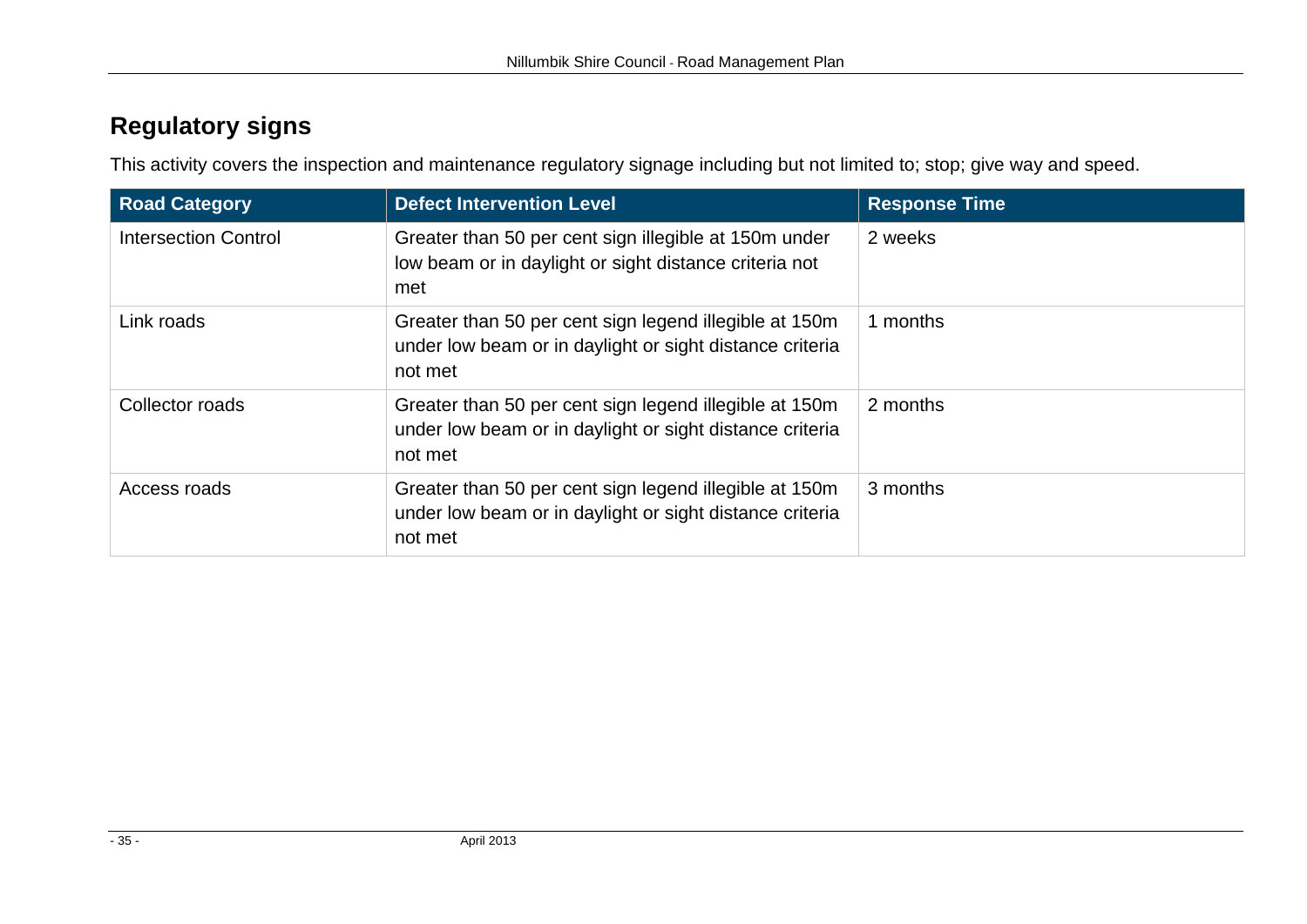## **Regulatory signs**

This activity covers the inspection and maintenance regulatory signage including but not limited to; stop; give way and speed.

| <b>Road Category</b>        | <b>Defect Intervention Level</b>                                                                                              | <b>Response Time</b> |
|-----------------------------|-------------------------------------------------------------------------------------------------------------------------------|----------------------|
| <b>Intersection Control</b> | Greater than 50 per cent sign illegible at 150m under<br>low beam or in daylight or sight distance criteria not<br>met        | 2 weeks              |
| Link roads                  | Greater than 50 per cent sign legend illegible at 150m<br>under low beam or in daylight or sight distance criteria<br>not met | 1 months             |
| Collector roads             | Greater than 50 per cent sign legend illegible at 150m<br>under low beam or in daylight or sight distance criteria<br>not met | 2 months             |
| Access roads                | Greater than 50 per cent sign legend illegible at 150m<br>under low beam or in daylight or sight distance criteria<br>not met | 3 months             |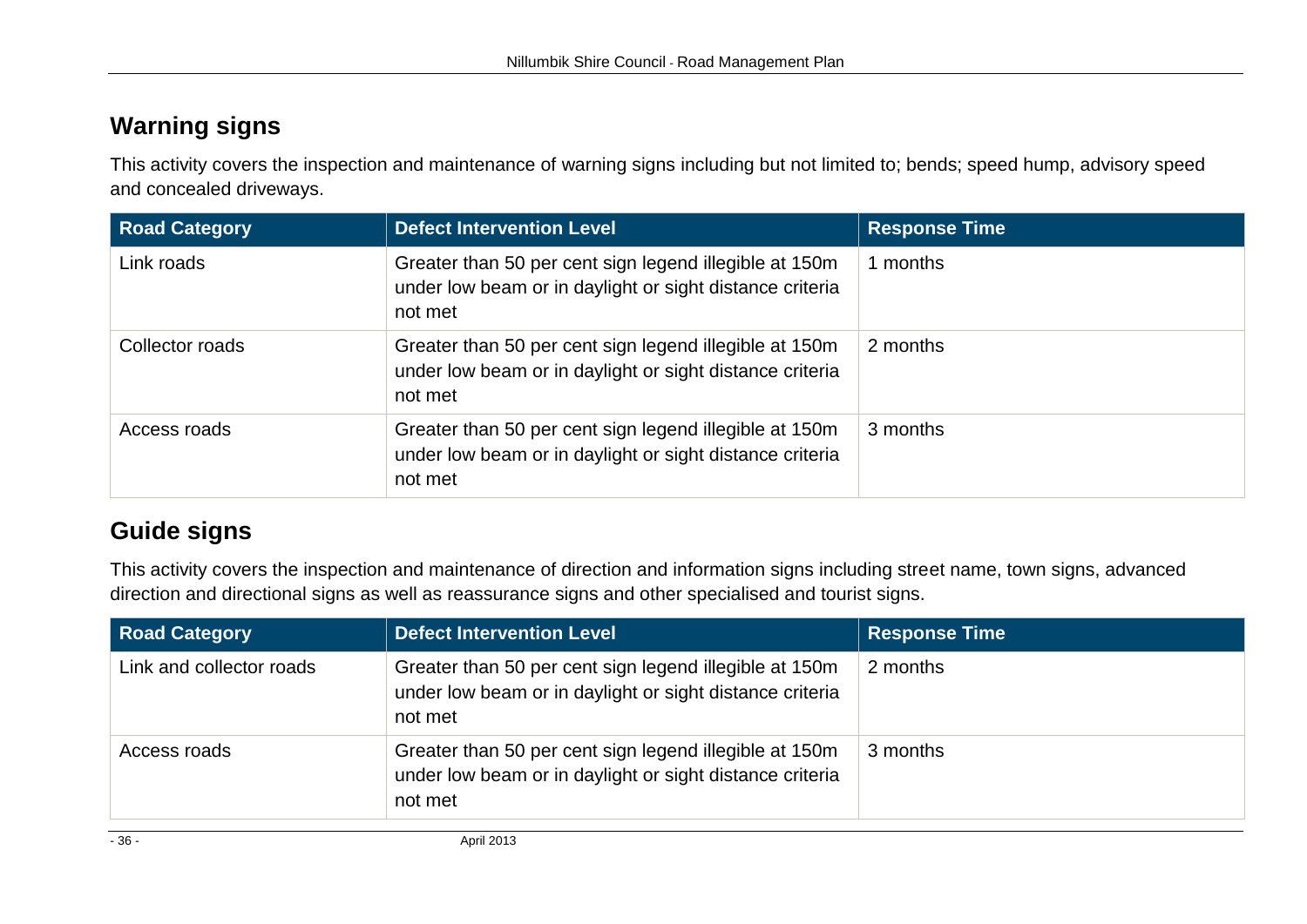## **Warning signs**

This activity covers the inspection and maintenance of warning signs including but not limited to; bends; speed hump, advisory speed and concealed driveways.

| <b>Road Category</b> | <b>Defect Intervention Level</b>                                                                                              | <b>Response Time</b> |
|----------------------|-------------------------------------------------------------------------------------------------------------------------------|----------------------|
| Link roads           | Greater than 50 per cent sign legend illegible at 150m<br>under low beam or in daylight or sight distance criteria<br>not met | months               |
| Collector roads      | Greater than 50 per cent sign legend illegible at 150m<br>under low beam or in daylight or sight distance criteria<br>not met | 2 months             |
| Access roads         | Greater than 50 per cent sign legend illegible at 150m<br>under low beam or in daylight or sight distance criteria<br>not met | 3 months             |

## **Guide signs**

This activity covers the inspection and maintenance of direction and information signs including street name, town signs, advanced direction and directional signs as well as reassurance signs and other specialised and tourist signs.

| <b>Road Category</b>     | <b>Defect Intervention Level</b>                                                                                              | <b>Response Time</b> |
|--------------------------|-------------------------------------------------------------------------------------------------------------------------------|----------------------|
| Link and collector roads | Greater than 50 per cent sign legend illegible at 150m<br>under low beam or in daylight or sight distance criteria<br>not met | 2 months             |
| Access roads             | Greater than 50 per cent sign legend illegible at 150m<br>under low beam or in daylight or sight distance criteria<br>not met | 3 months             |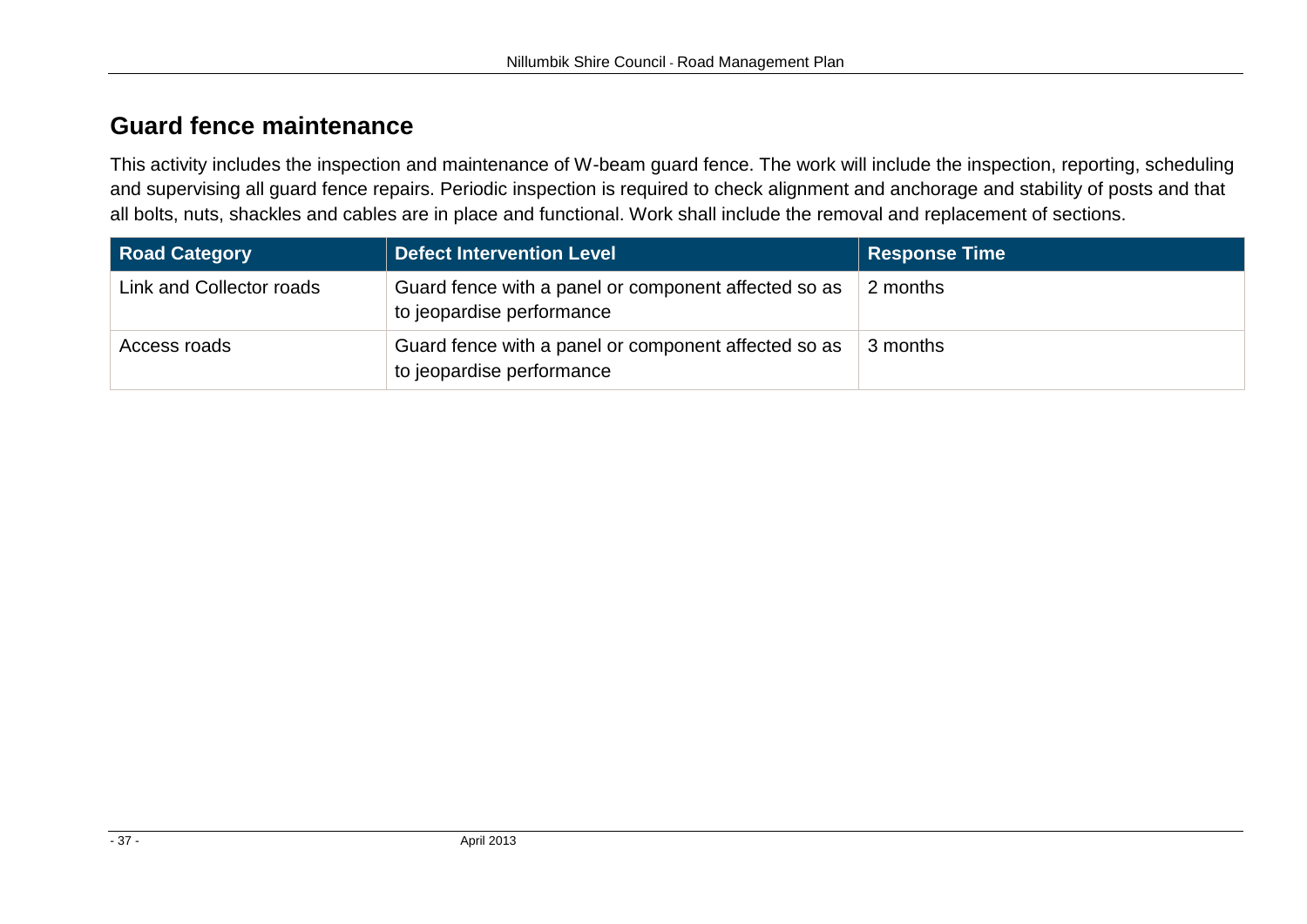## **Guard fence maintenance**

This activity includes the inspection and maintenance of W-beam guard fence. The work will include the inspection, reporting, scheduling and supervising all guard fence repairs. Periodic inspection is required to check alignment and anchorage and stability of posts and that all bolts, nuts, shackles and cables are in place and functional. Work shall include the removal and replacement of sections.

| <b>Road Category</b>     | <b>Defect Intervention Level</b>                                                  | <b>Response Time</b> |
|--------------------------|-----------------------------------------------------------------------------------|----------------------|
| Link and Collector roads | Guard fence with a panel or component affected so as<br>to jeopardise performance | 2 months             |
| Access roads             | Guard fence with a panel or component affected so as<br>to jeopardise performance | 3 months             |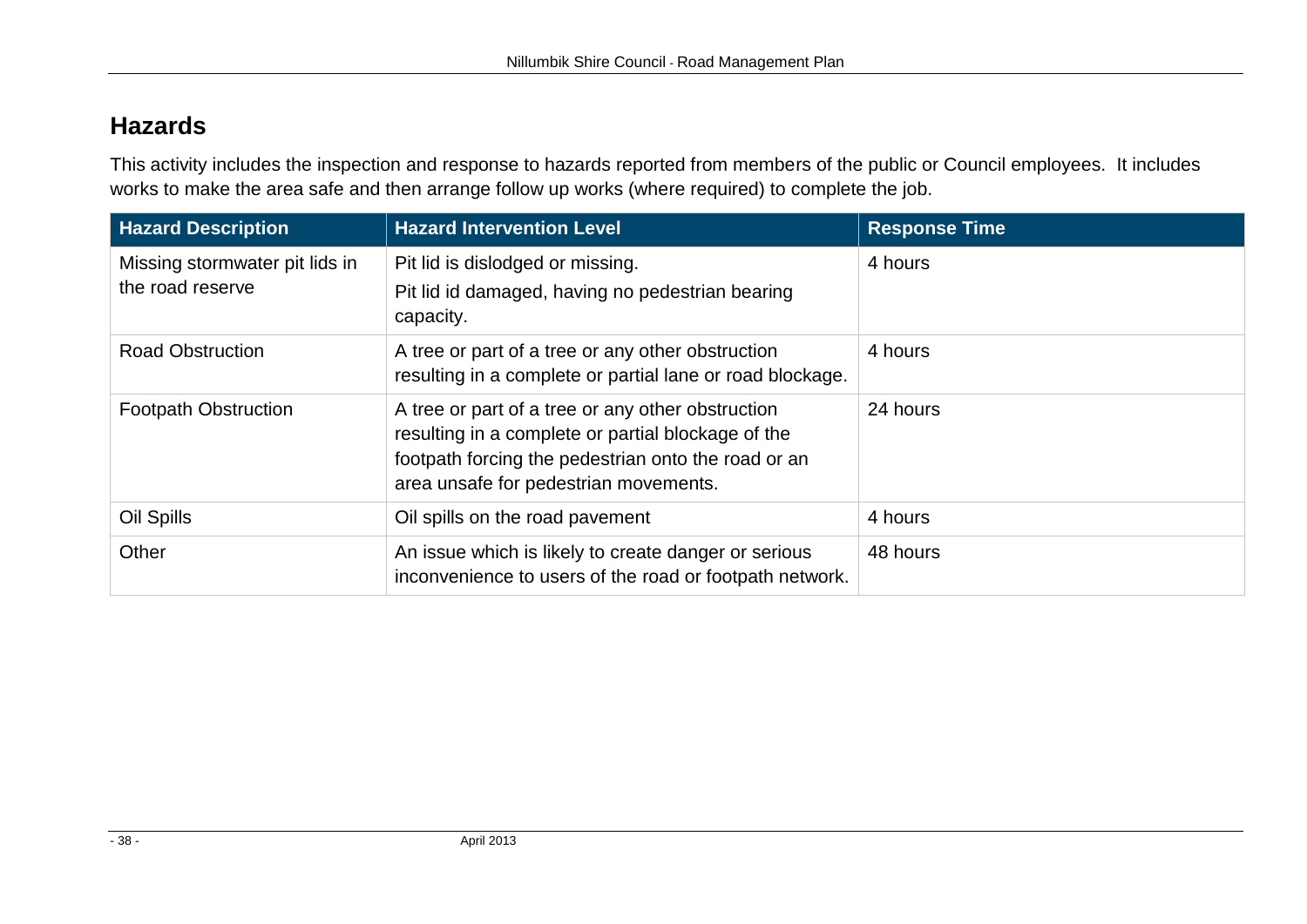## **Hazards**

This activity includes the inspection and response to hazards reported from members of the public or Council employees. It includes works to make the area safe and then arrange follow up works (where required) to complete the job.

| <b>Hazard Description</b>                          | <b>Hazard Intervention Level</b>                                                                                                                                                                        | <b>Response Time</b> |
|----------------------------------------------------|---------------------------------------------------------------------------------------------------------------------------------------------------------------------------------------------------------|----------------------|
| Missing stormwater pit lids in<br>the road reserve | Pit lid is dislodged or missing.<br>Pit lid id damaged, having no pedestrian bearing<br>capacity.                                                                                                       | 4 hours              |
| <b>Road Obstruction</b>                            | A tree or part of a tree or any other obstruction<br>resulting in a complete or partial lane or road blockage.                                                                                          | 4 hours              |
| <b>Footpath Obstruction</b>                        | A tree or part of a tree or any other obstruction<br>resulting in a complete or partial blockage of the<br>footpath forcing the pedestrian onto the road or an<br>area unsafe for pedestrian movements. | 24 hours             |
| Oil Spills                                         | Oil spills on the road pavement                                                                                                                                                                         | 4 hours              |
| Other                                              | An issue which is likely to create danger or serious<br>inconvenience to users of the road or footpath network.                                                                                         | 48 hours             |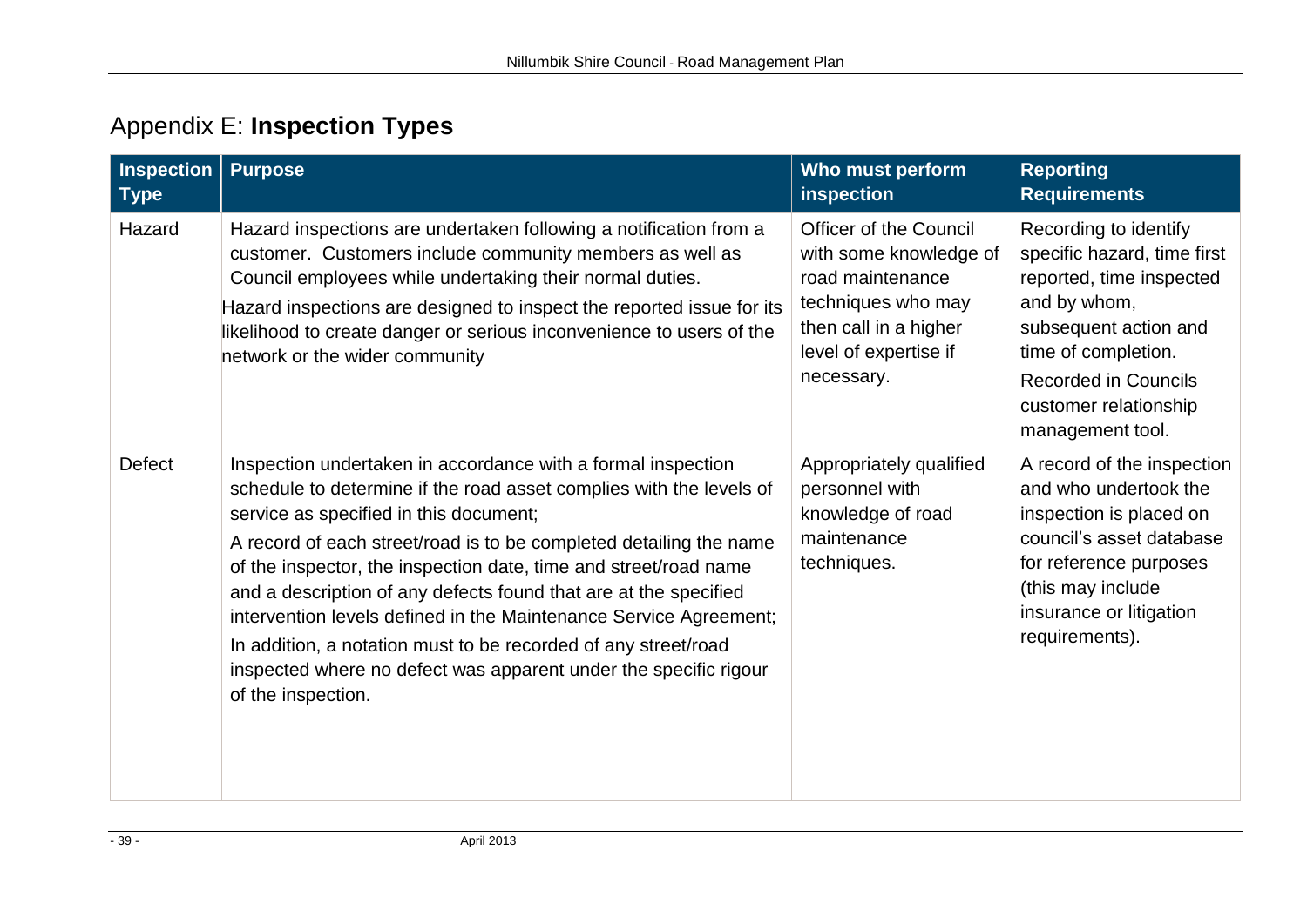# Appendix E: **Inspection Types**

<span id="page-38-0"></span>

| <b>Inspection</b><br><b>Type</b> | <b>Purpose</b>                                                                                                                                                                                                                                                                                                                                                                                                                                                                                                                                                                                                               | Who must perform<br>inspection                                                                                                                                    | <b>Reporting</b><br><b>Requirements</b>                                                                                                                                                                                      |
|----------------------------------|------------------------------------------------------------------------------------------------------------------------------------------------------------------------------------------------------------------------------------------------------------------------------------------------------------------------------------------------------------------------------------------------------------------------------------------------------------------------------------------------------------------------------------------------------------------------------------------------------------------------------|-------------------------------------------------------------------------------------------------------------------------------------------------------------------|------------------------------------------------------------------------------------------------------------------------------------------------------------------------------------------------------------------------------|
| Hazard                           | Hazard inspections are undertaken following a notification from a<br>customer. Customers include community members as well as<br>Council employees while undertaking their normal duties.<br>Hazard inspections are designed to inspect the reported issue for its<br>likelihood to create danger or serious inconvenience to users of the<br>network or the wider community                                                                                                                                                                                                                                                 | <b>Officer of the Council</b><br>with some knowledge of<br>road maintenance<br>techniques who may<br>then call in a higher<br>level of expertise if<br>necessary. | Recording to identify<br>specific hazard, time first<br>reported, time inspected<br>and by whom,<br>subsequent action and<br>time of completion.<br><b>Recorded in Councils</b><br>customer relationship<br>management tool. |
| <b>Defect</b>                    | Inspection undertaken in accordance with a formal inspection<br>schedule to determine if the road asset complies with the levels of<br>service as specified in this document;<br>A record of each street/road is to be completed detailing the name<br>of the inspector, the inspection date, time and street/road name<br>and a description of any defects found that are at the specified<br>intervention levels defined in the Maintenance Service Agreement;<br>In addition, a notation must to be recorded of any street/road<br>inspected where no defect was apparent under the specific rigour<br>of the inspection. | Appropriately qualified<br>personnel with<br>knowledge of road<br>maintenance<br>techniques.                                                                      | A record of the inspection<br>and who undertook the<br>inspection is placed on<br>council's asset database<br>for reference purposes<br>(this may include<br>insurance or litigation<br>requirements).                       |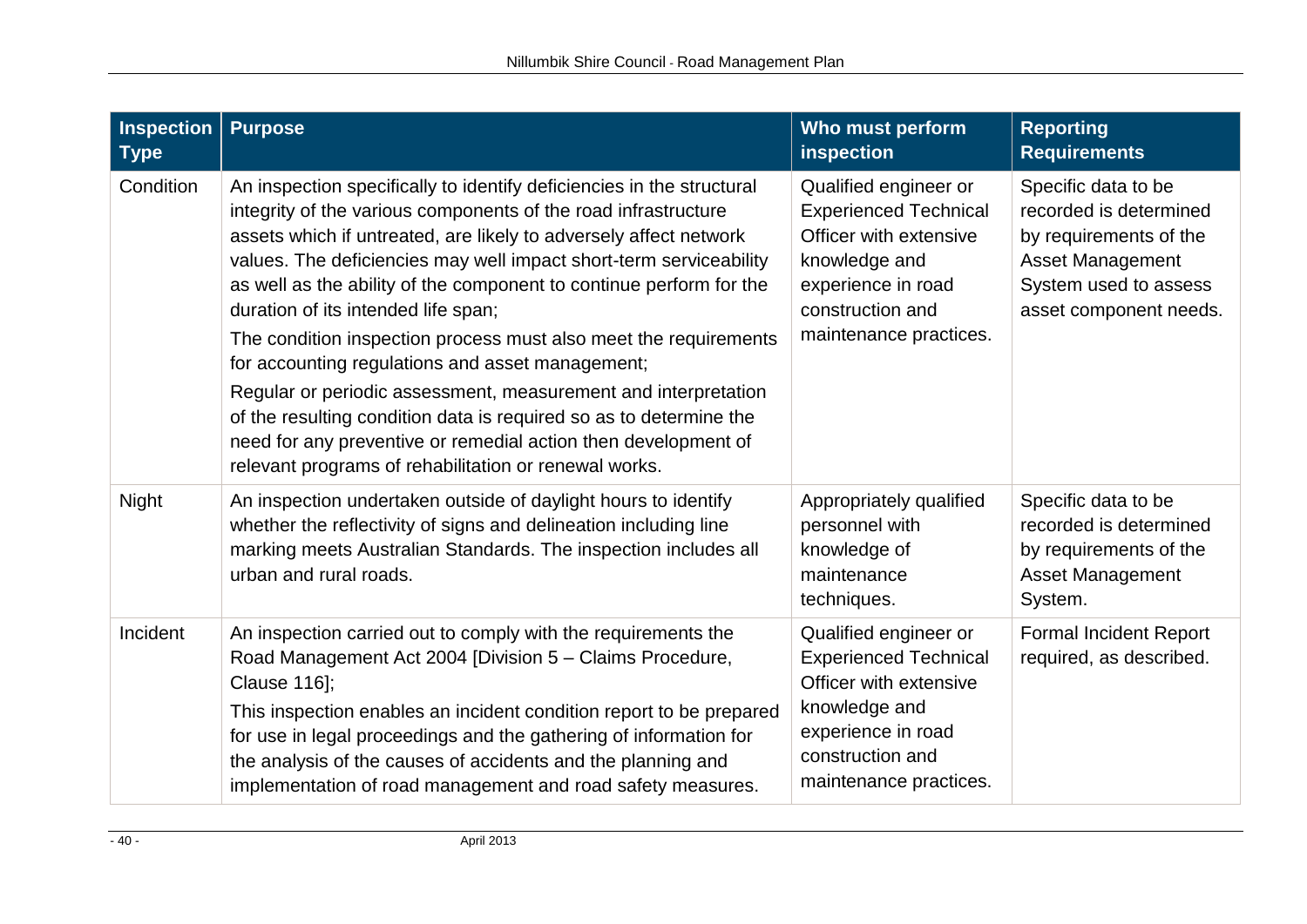| <b>Inspection</b><br><b>Type</b> | <b>Purpose</b>                                                                                                                                                                                                                                                                                                                                                                                                                                                                                                                                                                                                                                                                                                                                                                              | Who must perform<br>inspection                                                                                                                                       | <b>Reporting</b><br><b>Requirements</b>                                                                                                               |
|----------------------------------|---------------------------------------------------------------------------------------------------------------------------------------------------------------------------------------------------------------------------------------------------------------------------------------------------------------------------------------------------------------------------------------------------------------------------------------------------------------------------------------------------------------------------------------------------------------------------------------------------------------------------------------------------------------------------------------------------------------------------------------------------------------------------------------------|----------------------------------------------------------------------------------------------------------------------------------------------------------------------|-------------------------------------------------------------------------------------------------------------------------------------------------------|
| Condition                        | An inspection specifically to identify deficiencies in the structural<br>integrity of the various components of the road infrastructure<br>assets which if untreated, are likely to adversely affect network<br>values. The deficiencies may well impact short-term serviceability<br>as well as the ability of the component to continue perform for the<br>duration of its intended life span;<br>The condition inspection process must also meet the requirements<br>for accounting regulations and asset management;<br>Regular or periodic assessment, measurement and interpretation<br>of the resulting condition data is required so as to determine the<br>need for any preventive or remedial action then development of<br>relevant programs of rehabilitation or renewal works. | Qualified engineer or<br><b>Experienced Technical</b><br>Officer with extensive<br>knowledge and<br>experience in road<br>construction and<br>maintenance practices. | Specific data to be<br>recorded is determined<br>by requirements of the<br><b>Asset Management</b><br>System used to assess<br>asset component needs. |
| Night                            | An inspection undertaken outside of daylight hours to identify<br>whether the reflectivity of signs and delineation including line<br>marking meets Australian Standards. The inspection includes all<br>urban and rural roads.                                                                                                                                                                                                                                                                                                                                                                                                                                                                                                                                                             | Appropriately qualified<br>personnel with<br>knowledge of<br>maintenance<br>techniques.                                                                              | Specific data to be<br>recorded is determined<br>by requirements of the<br><b>Asset Management</b><br>System.                                         |
| Incident                         | An inspection carried out to comply with the requirements the<br>Road Management Act 2004 [Division 5 - Claims Procedure,<br><b>Clause 116];</b><br>This inspection enables an incident condition report to be prepared<br>for use in legal proceedings and the gathering of information for<br>the analysis of the causes of accidents and the planning and<br>implementation of road management and road safety measures.                                                                                                                                                                                                                                                                                                                                                                 | Qualified engineer or<br><b>Experienced Technical</b><br>Officer with extensive<br>knowledge and<br>experience in road<br>construction and<br>maintenance practices. | <b>Formal Incident Report</b><br>required, as described.                                                                                              |